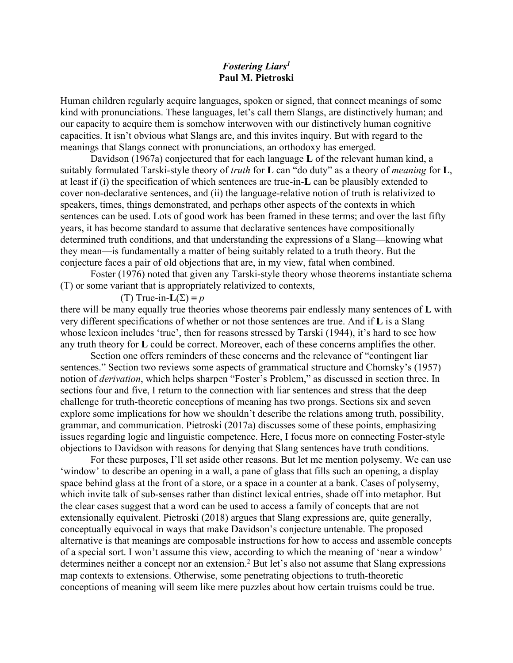# *Fostering Liars1* **Paul M. Pietroski**

Human children regularly acquire languages, spoken or signed, that connect meanings of some kind with pronunciations. These languages, let's call them Slangs, are distinctively human; and our capacity to acquire them is somehow interwoven with our distinctively human cognitive capacities. It isn't obvious what Slangs are, and this invites inquiry. But with regard to the meanings that Slangs connect with pronunciations, an orthodoxy has emerged.

Davidson (1967a) conjectured that for each language **L** of the relevant human kind, a suitably formulated Tarski-style theory of *truth* for **L** can "do duty" as a theory of *meaning* for **L**, at least if (i) the specification of which sentences are true-in-**L** can be plausibly extended to cover non-declarative sentences, and (ii) the language-relative notion of truth is relativized to speakers, times, things demonstrated, and perhaps other aspects of the contexts in which sentences can be used. Lots of good work has been framed in these terms; and over the last fifty years, it has become standard to assume that declarative sentences have compositionally determined truth conditions, and that understanding the expressions of a Slang—knowing what they mean—is fundamentally a matter of being suitably related to a truth theory. But the conjecture faces a pair of old objections that are, in my view, fatal when combined.

Foster (1976) noted that given any Tarski-style theory whose theorems instantiate schema (T) or some variant that is appropriately relativized to contexts,

# (T) True-in- $L(\Sigma) \equiv p$

there will be many equally true theories whose theorems pair endlessly many sentences of **L** with very different specifications of whether or not those sentences are true. And if **L** is a Slang whose lexicon includes 'true', then for reasons stressed by Tarski (1944), it's hard to see how any truth theory for **L** could be correct. Moreover, each of these concerns amplifies the other.

Section one offers reminders of these concerns and the relevance of "contingent liar sentences." Section two reviews some aspects of grammatical structure and Chomsky's (1957) notion of *derivation*, which helps sharpen "Foster's Problem," as discussed in section three. In sections four and five, I return to the connection with liar sentences and stress that the deep challenge for truth-theoretic conceptions of meaning has two prongs. Sections six and seven explore some implications for how we shouldn't describe the relations among truth, possibility, grammar, and communication. Pietroski (2017a) discusses some of these points, emphasizing issues regarding logic and linguistic competence. Here, I focus more on connecting Foster-style objections to Davidson with reasons for denying that Slang sentences have truth conditions.

For these purposes, I'll set aside other reasons. But let me mention polysemy. We can use 'window' to describe an opening in a wall, a pane of glass that fills such an opening, a display space behind glass at the front of a store, or a space in a counter at a bank. Cases of polysemy, which invite talk of sub-senses rather than distinct lexical entries, shade off into metaphor. But the clear cases suggest that a word can be used to access a family of concepts that are not extensionally equivalent. Pietroski (2018) argues that Slang expressions are, quite generally, conceptually equivocal in ways that make Davidson's conjecture untenable. The proposed alternative is that meanings are composable instructions for how to access and assemble concepts of a special sort. I won't assume this view, according to which the meaning of 'near a window' determines neither a concept nor an extension.<sup>2</sup> But let's also not assume that Slang expressions map contexts to extensions. Otherwise, some penetrating objections to truth-theoretic conceptions of meaning will seem like mere puzzles about how certain truisms could be true.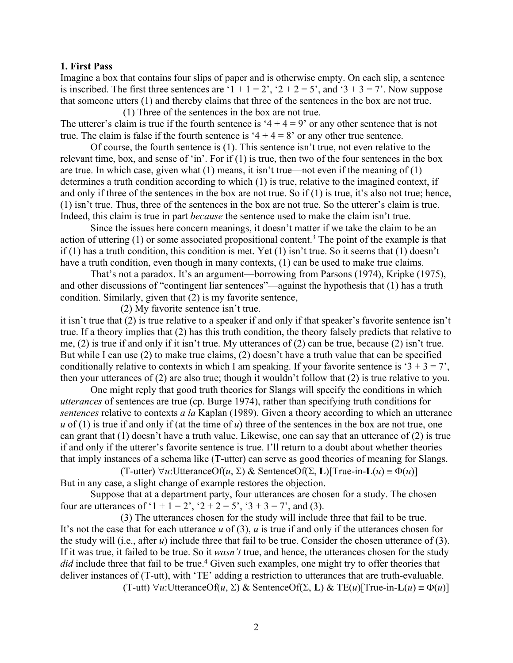### **1. First Pass**

Imagine a box that contains four slips of paper and is otherwise empty. On each slip, a sentence is inscribed. The first three sentences are ' $1 + 1 = 2$ ', ' $2 + 2 = 5$ ', and ' $3 + 3 = 7$ '. Now suppose that someone utters (1) and thereby claims that three of the sentences in the box are not true. (1) Three of the sentences in the box are not true.

The utterer's claim is true if the fourth sentence is ' $4 + 4 = 9$ ' or any other sentence that is not true. The claim is false if the fourth sentence is ' $4 + 4 = 8$ ' or any other true sentence.

Of course, the fourth sentence is (1). This sentence isn't true, not even relative to the relevant time, box, and sense of 'in'. For if (1) is true, then two of the four sentences in the box are true. In which case, given what  $(1)$  means, it isn't true—not even if the meaning of  $(1)$ determines a truth condition according to which (1) is true, relative to the imagined context, if and only if three of the sentences in the box are not true. So if (1) is true, it's also not true; hence, (1) isn't true. Thus, three of the sentences in the box are not true. So the utterer's claim is true. Indeed, this claim is true in part *because* the sentence used to make the claim isn't true.

Since the issues here concern meanings, it doesn't matter if we take the claim to be an action of uttering  $(1)$  or some associated propositional content.<sup>3</sup> The point of the example is that if (1) has a truth condition, this condition is met. Yet (1) isn't true. So it seems that (1) doesn't have a truth condition, even though in many contexts, (1) can be used to make true claims.

That's not a paradox. It's an argument—borrowing from Parsons (1974), Kripke (1975), and other discussions of "contingent liar sentences"—against the hypothesis that (1) has a truth condition. Similarly, given that (2) is my favorite sentence,

(2) My favorite sentence isn't true.

it isn't true that (2) is true relative to a speaker if and only if that speaker's favorite sentence isn't true. If a theory implies that (2) has this truth condition, the theory falsely predicts that relative to me, (2) is true if and only if it isn't true. My utterances of (2) can be true, because (2) isn't true. But while I can use (2) to make true claims, (2) doesn't have a truth value that can be specified conditionally relative to contexts in which I am speaking. If your favorite sentence is ' $3 + 3 = 7$ ', then your utterances of (2) are also true; though it wouldn't follow that (2) is true relative to you.

One might reply that good truth theories for Slangs will specify the conditions in which *utterances* of sentences are true (cp. Burge 1974), rather than specifying truth conditions for *sentences* relative to contexts *a la* Kaplan (1989). Given a theory according to which an utterance *u* of (1) is true if and only if (at the time of *u*) three of the sentences in the box are not true, one can grant that (1) doesn't have a truth value. Likewise, one can say that an utterance of (2) is true if and only if the utterer's favorite sentence is true. I'll return to a doubt about whether theories that imply instances of a schema like (T-utter) can serve as good theories of meaning for Slangs.

 $(T$ -utter)  $\forall u$ :UtteranceOf(*u*,  $\Sigma$ ) & SentenceOf( $\Sigma$ , **L**)[True-in-**L**(*u*) =  $\Phi(u)$ ] But in any case, a slight change of example restores the objection.

Suppose that at a department party, four utterances are chosen for a study. The chosen four are utterances of '1 + 1 = 2', '2 + 2 = 5', '3 + 3 = 7', and (3).

(3) The utterances chosen for the study will include three that fail to be true. It's not the case that for each utterance *u* of (3), *u* is true if and only if the utterances chosen for the study will (i.e., after *u*) include three that fail to be true. Consider the chosen utterance of (3). If it was true, it failed to be true. So it *wasn't* true, and hence, the utterances chosen for the study *did* include three that fail to be true.<sup>4</sup> Given such examples, one might try to offer theories that deliver instances of (T-utt), with 'TE' adding a restriction to utterances that are truth-evaluable.

 $(T$ -utt)  $\forall u$ :UtteranceOf $(u, \Sigma)$  & SentenceOf $(\Sigma, L)$  & TE $(u)$ [True-in-L $(u) \equiv \Phi(u)$ ]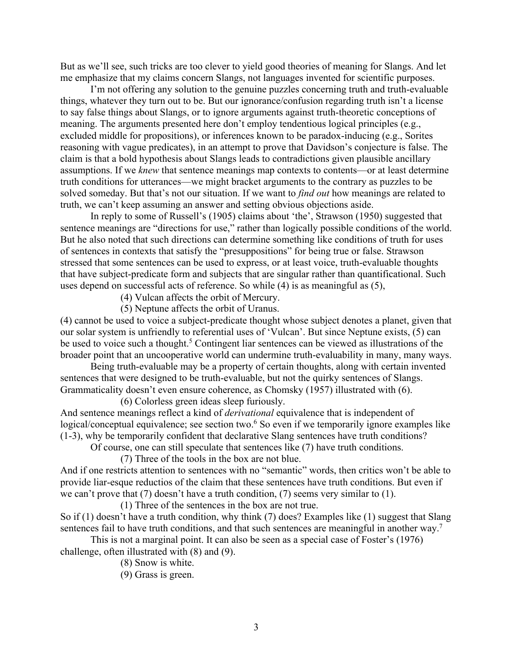But as we'll see, such tricks are too clever to yield good theories of meaning for Slangs. And let me emphasize that my claims concern Slangs, not languages invented for scientific purposes.

I'm not offering any solution to the genuine puzzles concerning truth and truth-evaluable things, whatever they turn out to be. But our ignorance/confusion regarding truth isn't a license to say false things about Slangs, or to ignore arguments against truth-theoretic conceptions of meaning. The arguments presented here don't employ tendentious logical principles (e.g., excluded middle for propositions), or inferences known to be paradox-inducing (e.g., Sorites reasoning with vague predicates), in an attempt to prove that Davidson's conjecture is false. The claim is that a bold hypothesis about Slangs leads to contradictions given plausible ancillary assumptions. If we *knew* that sentence meanings map contexts to contents—or at least determine truth conditions for utterances—we might bracket arguments to the contrary as puzzles to be solved someday. But that's not our situation. If we want to *find out* how meanings are related to truth, we can't keep assuming an answer and setting obvious objections aside.

In reply to some of Russell's (1905) claims about 'the', Strawson (1950) suggested that sentence meanings are "directions for use," rather than logically possible conditions of the world. But he also noted that such directions can determine something like conditions of truth for uses of sentences in contexts that satisfy the "presuppositions" for being true or false. Strawson stressed that some sentences can be used to express, or at least voice, truth-evaluable thoughts that have subject-predicate form and subjects that are singular rather than quantificational. Such uses depend on successful acts of reference. So while (4) is as meaningful as (5),

(4) Vulcan affects the orbit of Mercury.

(5) Neptune affects the orbit of Uranus.

(4) cannot be used to voice a subject-predicate thought whose subject denotes a planet, given that our solar system is unfriendly to referential uses of 'Vulcan'. But since Neptune exists, (5) can be used to voice such a thought.<sup>5</sup> Contingent liar sentences can be viewed as illustrations of the broader point that an uncooperative world can undermine truth-evaluability in many, many ways.

Being truth-evaluable may be a property of certain thoughts, along with certain invented sentences that were designed to be truth-evaluable, but not the quirky sentences of Slangs. Grammaticality doesn't even ensure coherence, as Chomsky (1957) illustrated with (6).

(6) Colorless green ideas sleep furiously.

And sentence meanings reflect a kind of *derivational* equivalence that is independent of logical/conceptual equivalence; see section two.<sup>6</sup> So even if we temporarily ignore examples like (1-3), why be temporarily confident that declarative Slang sentences have truth conditions?

Of course, one can still speculate that sentences like (7) have truth conditions.

(7) Three of the tools in the box are not blue.

And if one restricts attention to sentences with no "semantic" words, then critics won't be able to provide liar-esque reductios of the claim that these sentences have truth conditions. But even if we can't prove that (7) doesn't have a truth condition, (7) seems very similar to (1).

(1) Three of the sentences in the box are not true.

So if (1) doesn't have a truth condition, why think (7) does? Examples like (1) suggest that Slang sentences fail to have truth conditions, and that such sentences are meaningful in another way.<sup>7</sup>

This is not a marginal point. It can also be seen as a special case of Foster's (1976) challenge, often illustrated with (8) and (9).

(8) Snow is white.

(9) Grass is green.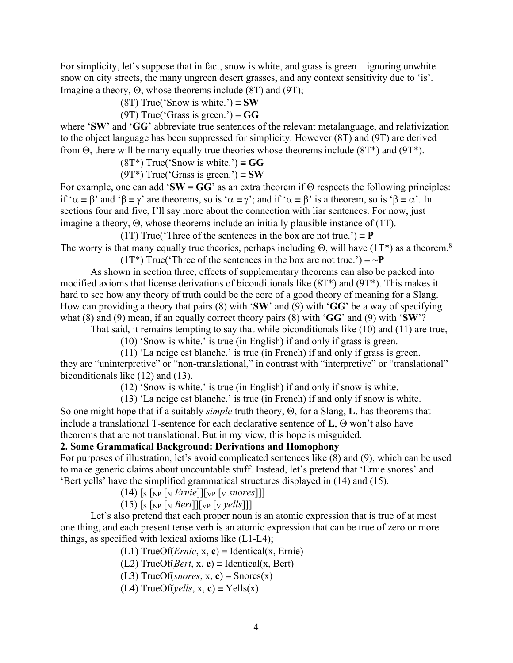For simplicity, let's suppose that in fact, snow is white, and grass is green—ignoring unwhite snow on city streets, the many ungreen desert grasses, and any context sensitivity due to 'is'. Imagine a theory,  $\Theta$ , whose theorems include (8T) and (9T);

(8T) True('Snow is white.')  $\equiv$  **SW** 

(9T) True('Grass is green.')  $\equiv$  **GG** 

where '**SW**' and '**GG**' abbreviate true sentences of the relevant metalanguage, and relativization to the object language has been suppressed for simplicity. However (8T) and (9T) are derived from  $\Theta$ , there will be many equally true theories whose theorems include (8T\*) and (9T\*).

 $(8T^*)$  True('Snow is white.')  $\equiv$  **GG** 

 $(9T^*)$  True('Grass is green.')  $\equiv$  **SW** 

For example, one can add 'SW  $\equiv$  GG' as an extra theorem if  $\Theta$  respects the following principles: if ' $\alpha = \beta$ ' and ' $\beta = \gamma$ ' are theorems, so is ' $\alpha = \gamma$ '; and if ' $\alpha = \beta$ ' is a theorem, so is ' $\beta = \alpha$ '. In sections four and five, I'll say more about the connection with liar sentences. For now, just imagine a theory,  $\Theta$ , whose theorems include an initially plausible instance of (1T).

(1T) True('Three of the sentences in the box are not true.')  $\equiv \mathbf{P}$ The worry is that many equally true theories, perhaps including  $\Theta$ , will have (1T\*) as a theorem.<sup>8</sup> (1T<sup>\*</sup>) True('Three of the sentences in the box are not true.')  $\equiv \sim P$ 

As shown in section three, effects of supplementary theorems can also be packed into modified axioms that license derivations of biconditionals like (8T\*) and (9T\*). This makes it hard to see how any theory of truth could be the core of a good theory of meaning for a Slang. How can providing a theory that pairs (8) with '**SW**' and (9) with '**GG**' be a way of specifying what (8) and (9) mean, if an equally correct theory pairs (8) with '**GG**' and (9) with '**SW**'?

That said, it remains tempting to say that while biconditionals like (10) and (11) are true,

(10) 'Snow is white.' is true (in English) if and only if grass is green.

(11) 'La neige est blanche.' is true (in French) if and only if grass is green. they are "uninterpretive" or "non-translational," in contrast with "interpretive" or "translational" biconditionals like (12) and (13).

(12) 'Snow is white.' is true (in English) if and only if snow is white.

(13) 'La neige est blanche.' is true (in French) if and only if snow is white. So one might hope that if a suitably *simple* truth theory, Q, for a Slang, **L**, has theorems that include a translational T-sentence for each declarative sentence of  $L$ ,  $\Theta$  won't also have theorems that are not translational. But in my view, this hope is misguided.

#### **2. Some Grammatical Background: Derivations and Homophony**

For purposes of illustration, let's avoid complicated sentences like (8) and (9), which can be used to make generic claims about uncountable stuff. Instead, let's pretend that 'Ernie snores' and 'Bert yells' have the simplified grammatical structures displayed in (14) and (15).

 $(14)$  [s [NP [N *Ernie*]][VP [V *snores*]]]

 $(15)$  [s [NP [N *Bert*]][VP [V *yells*]]]

Let's also pretend that each proper noun is an atomic expression that is true of at most one thing, and each present tense verb is an atomic expression that can be true of zero or more things, as specified with lexical axioms like (L1-L4);

(L1) TrueOf(*Ernie*, x, c) = Identical(x, Ernie)

 $(L2) TrueOf(Bert, x, c) = Identical(x, Bert)$ 

(L3) TrueOf(*snores*, x, c) = Snores(x)

 $(L4)$  TrueOf(*yells*, x, **c**) = Yells(x)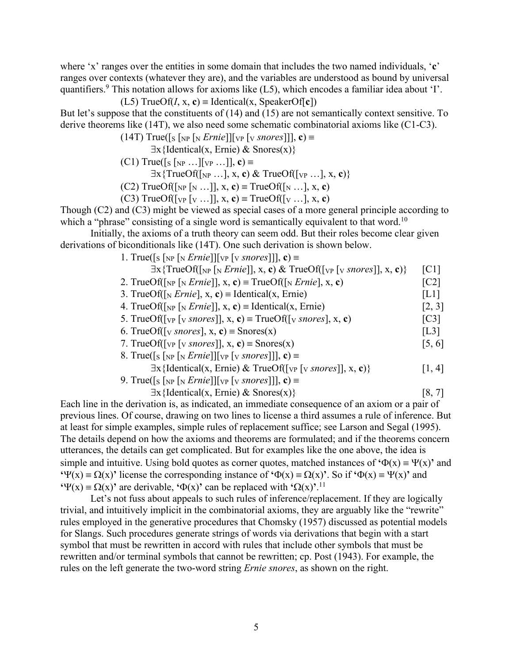where 'x' ranges over the entities in some domain that includes the two named individuals, '**c**' ranges over contexts (whatever they are), and the variables are understood as bound by universal quantifiers.<sup>9</sup> This notation allows for axioms like  $(L5)$ , which encodes a familiar idea about 'I'.

(L5) TrueOf(
$$
I
$$
, x, c) = Identical(x, SpeakerOf[c])

But let's suppose that the constituents of (14) and (15) are not semantically context sensitive. To derive theorems like (14T), we also need some schematic combinatorial axioms like (C1-C3).

(14T) True([s [<sub>NP</sub> [<sub>N</sub> *Ernie*]][<sub>VP</sub> [<sub>V</sub> *snores*]]], **c**) 
$$
\equiv
$$

- $\exists x \{ \text{Identical}(x, \text{Ernie}) \& \text{Snores}(x) \}$
- $(C1)$  True([s [NP ...][VP ...]], **c**) =

$$
\exists x \{TrueOf([NP ...], x, c) \& TrueOf([VP ...], x, c)\}
$$

- $(C2)$  TrueOf( $\lceil_{NP} \lceil_{N} ... \rceil$ , x, **c**) = TrueOf( $\lceil_{N} ... \rceil$ , x, **c**)
- (C3) TrueOf( $[v_{P} [v ...]]$ , x, **c**) = TrueOf( $[v ... ]$ , x, **c**)

Though (C2) and (C3) might be viewed as special cases of a more general principle according to which a "phrase" consisting of a single word is semantically equivalent to that word.<sup>10</sup>

Initially, the axioms of a truth theory can seem odd. But their roles become clear given derivations of biconditionals like (14T). One such derivation is shown below.

1. True( $\lceil s \rceil_{\text{NP}} \lceil s \text{ } \lceil \text{Ftnie} \rceil \lceil \lceil \text{Fyr} \lceil \text{Fsnores} \rceil \rceil \rceil$ , **c**) =

| $\exists$ x{TrueOf([ <sub>NP</sub> [ <sub>N</sub> <i>Ernie</i> ]], x, c) & TrueOf([ <sub>VP</sub> [ <sub>V</sub> <i>snores</i> ]], x, c)}                                      | $\lceil C1 \rceil$ |
|--------------------------------------------------------------------------------------------------------------------------------------------------------------------------------|--------------------|
| 2. TrueOf( $\lceil_{NP} \lceil_{N} E \text{rnie} \rceil$ ), x, c) = TrueOf( $\lceil_{N} E \text{rnie} \rceil$ , x, c)                                                          | $\lceil C2 \rceil$ |
| 3. TrueOf( $\lceil_{N}$ <i>Ernie</i> ], x, <b>c</b> ) = Identical(x, Ernie)                                                                                                    | [L1]               |
| 4. TrueOf( $\lceil_{NP} \rceil_N$ <i>Ernie</i> ]], x, c) = Identical(x, Ernie)                                                                                                 | [2, 3]             |
| 5. TrueOf([ $_{VP}$ [ $_{V}$ snores]], x, c) = TrueOf([ $_{V}$ snores], x, c)                                                                                                  | $\lceil C3 \rceil$ |
| 6. TrueOf([ $\vee$ snores], x, c) = Snores(x)                                                                                                                                  | [L3]               |
| 7. TrueOf( $[v_P[v \text{snores}]]$ , x, c) = Snores(x)                                                                                                                        | [5, 6]             |
| 8. True( $\lceil s \rceil_{\text{NP}}$ $\lceil s \rceil_{\text{NP}}$ $\lceil s \rceil_{\text{VP}}$ $\lceil s \rceil_{\text{V}}$ $\lceil s \rceil_{\text{O}}$ $\lceil s \rceil$ |                    |
| $\exists$ x{Identical(x, Ernie) & TrueOf([v <sub>P</sub> [v snores]], x, c)}                                                                                                   | [1, 4]             |
| 9. True([s [NP [N <i>Ernie</i> ]][ <sub>VP</sub> [v <i>snores</i> ]]], <b>c</b> ) $\equiv$                                                                                     |                    |
|                                                                                                                                                                                |                    |

 $\exists x \{ \text{Identical}(x, \text{ Ernie}) \& \text{Snores}(x) \}$  [8, 7]

Each line in the derivation is, as indicated, an immediate consequence of an axiom or a pair of previous lines. Of course, drawing on two lines to license a third assumes a rule of inference. But at least for simple examples, simple rules of replacement suffice; see Larson and Segal (1995). The details depend on how the axioms and theorems are formulated; and if the theorems concern utterances, the details can get complicated. But for examples like the one above, the idea is simple and intuitive. Using bold quotes as corner quotes, matched instances of  $\Phi(x) = \Psi(x)$  and  $\mathbf{P}(X) = \Omega(X)$  license the corresponding instance of  $\mathbf{P}(X) = \Omega(X)$ . So if  $\mathbf{P}(X) = \mathbf{P}(X)$  and  $\mathbf{Y}(x) = \Omega(x)$ <sup>t</sup> are derivable,  $\Phi(x)$ <sup>t</sup> can be replaced with  $\Omega(x)$ <sup>'.11</sup>

Let's not fuss about appeals to such rules of inference/replacement. If they are logically trivial, and intuitively implicit in the combinatorial axioms, they are arguably like the "rewrite" rules employed in the generative procedures that Chomsky (1957) discussed as potential models for Slangs. Such procedures generate strings of words via derivations that begin with a start symbol that must be rewritten in accord with rules that include other symbols that must be rewritten and/or terminal symbols that cannot be rewritten; cp. Post (1943). For example, the rules on the left generate the two-word string *Ernie snores*, as shown on the right.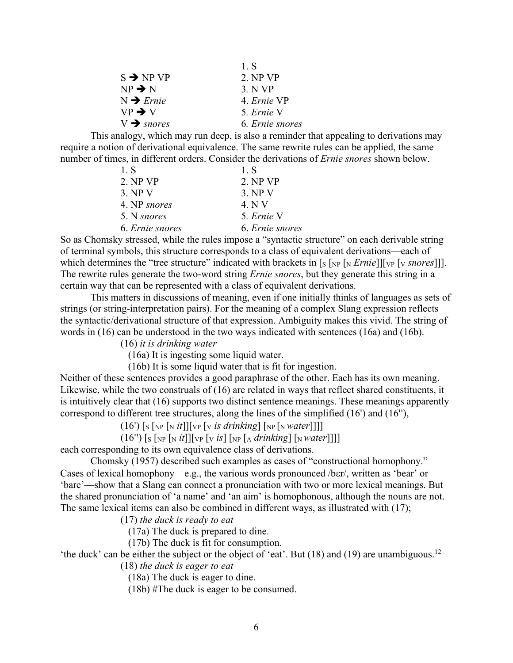|                        | 1. S            |
|------------------------|-----------------|
| $S \rightarrow NP VP$  | 2. NP VP        |
| $NP \rightarrow N$     | 3 N VP          |
| $N \rightarrow Ernie$  | 4. Ernie VP     |
| $VP \rightarrow V$     | 5. Ernie V      |
| $V \rightarrow$ snores | 6. Ernie snores |

This analogy, which may run deep, is also a reminder that appealing to derivations may require a notion of derivational equivalence. The same rewrite rules can be applied, the same number of times, in different orders. Consider the derivations of *Ernie snores* shown below.

| 1. S            | 1. S            |
|-----------------|-----------------|
| 2. NP VP        | 2. NP VP        |
| 3. NPV          | 3. NPV          |
| 4. NP snores    | 4. N V          |
| 5. N snores     | 5. Ernie V      |
| 6. Ernie snores | 6. Ernie snores |

So as Chomsky stressed, while the rules impose a "syntactic structure" on each derivable string of terminal symbols, this structure corresponds to a class of equivalent derivations—each of which determines the "tree structure" indicated with brackets in [s [NP [N *Ernie*]][VP [V *snores*]]]. The rewrite rules generate the two-word string *Ernie snores*, but they generate this string in a certain way that can be represented with a class of equivalent derivations.

This matters in discussions of meaning, even if one initially thinks of languages as sets of strings (or string-interpretation pairs). For the meaning of a complex Slang expression reflects the syntactic/derivational structure of that expression. Ambiguity makes this vivid. The string of words in (16) can be understood in the two ways indicated with sentences (16a) and (16b).

(16) *it is drinking water*

(16a) It is ingesting some liquid water.

(16b) It is some liquid water that is fit for ingestion.

Neither of these sentences provides a good paraphrase of the other. Each has its own meaning. Likewise, while the two construals of (16) are related in ways that reflect shared constituents, it is intuitively clear that (16) supports two distinct sentence meanings. These meanings apparently correspond to different tree structures, along the lines of the simplified (16') and (16''),

 $(16')$  [s [NP [N *it*]][VP [V *is drinking*] [NP [N *Water*]]]]

 $(16'')$  [s [NP [N *it*]][VP [V *is*] [NP [A *drinking*] [N *water*]]]]

each corresponding to its own equivalence class of derivations.

Chomsky (1957) described such examples as cases of "constructional homophony." Cases of lexical homophony—e.g., the various words pronounced /ber/, written as 'bear' or 'bare'—show that a Slang can connect a pronunciation with two or more lexical meanings. But the shared pronunciation of 'a name' and 'an aim' is homophonous, although the nouns are not. The same lexical items can also be combined in different ways, as illustrated with (17);

(17) *the duck is ready to eat*

(17a) The duck is prepared to dine.

(17b) The duck is fit for consumption.

'the duck' can be either the subject or the object of 'eat'. But (18) and (19) are unambiguous.<sup>12</sup>

(18) *the duck is eager to eat*

(18a) The duck is eager to dine.

(18b) #The duck is eager to be consumed.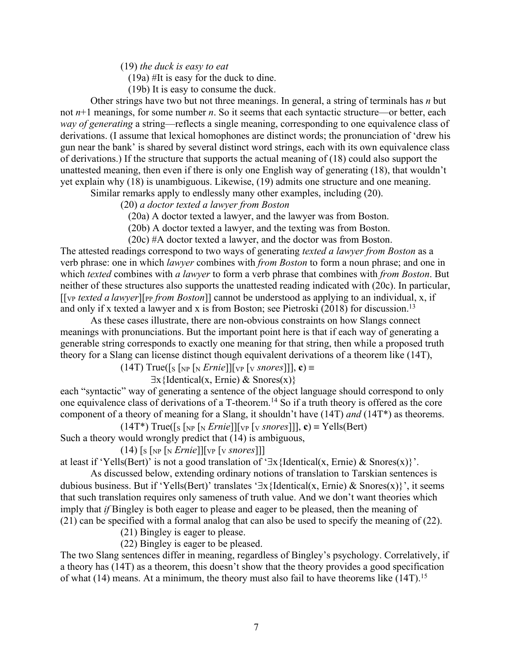(19) *the duck is easy to eat*

(19a) #It is easy for the duck to dine.

(19b) It is easy to consume the duck.

Other strings have two but not three meanings. In general, a string of terminals has *n* but not *n*+1 meanings, for some number *n*. So it seems that each syntactic structure—or better, each *way of generating* a string—reflects a single meaning, corresponding to one equivalence class of derivations. (I assume that lexical homophones are distinct words; the pronunciation of 'drew his gun near the bank' is shared by several distinct word strings, each with its own equivalence class of derivations.) If the structure that supports the actual meaning of (18) could also support the unattested meaning, then even if there is only one English way of generating (18), that wouldn't yet explain why (18) is unambiguous. Likewise, (19) admits one structure and one meaning.

Similar remarks apply to endlessly many other examples, including (20).

(20) *a doctor texted a lawyer from Boston*

(20a) A doctor texted a lawyer, and the lawyer was from Boston.

(20b) A doctor texted a lawyer, and the texting was from Boston.

(20c) #A doctor texted a lawyer, and the doctor was from Boston.

The attested readings correspond to two ways of generating *texted a lawyer from Boston* as a verb phrase: one in which *lawyer* combines with *from Boston* to form a noun phrase; and one in which *texted* combines with *a lawyer* to form a verb phrase that combines with *from Boston*. But neither of these structures also supports the unattested reading indicated with (20c). In particular, [[VP *texted a lawyer*][PP *from Boston*]] cannot be understood as applying to an individual, x, if and only if x texted a lawyer and x is from Boston; see Pietroski  $(2018)$  for discussion.<sup>13</sup>

As these cases illustrate, there are non-obvious constraints on how Slangs connect meanings with pronunciations. But the important point here is that if each way of generating a generable string corresponds to exactly one meaning for that string, then while a proposed truth theory for a Slang can license distinct though equivalent derivations of a theorem like (14T),

 $(14T)$  True([s [NP [N *Ernie*]][VP [V *snores*]]], **c**) =

 $\exists x \{ \text{Identical}(x, \text{ Ernie}) \& \text{Snores}(x) \}$ 

each "syntactic" way of generating a sentence of the object language should correspond to only one equivalence class of derivations of a T-theorem.14 So if a truth theory is offered as the core component of a theory of meaning for a Slang, it shouldn't have (14T) *and* (14T\*) as theorems.

 $(14T^*)$  True([s [NP [N *Ernie*]][VP [V *snores*]]], **c**) = Yells(Bert)

Such a theory would wrongly predict that (14) is ambiguous,

 $(14)$  [s [NP [N *Ernie*]][VP [V *snores*]]]

at least if 'Yells(Bert)' is not a good translation of ' $\exists x$ {Identical(x, Ernie) & Snores(x)}'.

As discussed below, extending ordinary notions of translation to Tarskian sentences is dubious business. But if 'Yells(Bert)' translates ' $\exists x$ {Identical(x, Ernie) & Snores(x)}', it seems that such translation requires only sameness of truth value. And we don't want theories which imply that *if* Bingley is both eager to please and eager to be pleased, then the meaning of (21) can be specified with a formal analog that can also be used to specify the meaning of (22).

(21) Bingley is eager to please.

(22) Bingley is eager to be pleased.

The two Slang sentences differ in meaning, regardless of Bingley's psychology. Correlatively, if a theory has (14T) as a theorem, this doesn't show that the theory provides a good specification of what (14) means. At a minimum, the theory must also fail to have theorems like (14T).<sup>15</sup>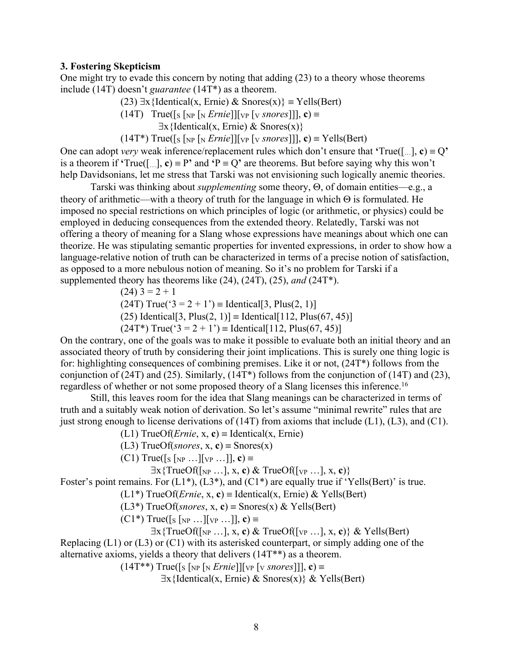# **3. Fostering Skepticism**

One might try to evade this concern by noting that adding (23) to a theory whose theorems include (14T) doesn't *guarantee* (14T\*) as a theorem.

(23) 
$$
\exists x
$$
 {Identical(x, Ernie) & Snores(x)} = Yells(Bert)

(14T) True( $[s \in N_P \mid N \text{ } Ernie]$  $[v \in N \text{ } or \text{ } es]$ ], **c**) =

 $\exists x \{ \text{Identical}(x, \text{Ernie}) \& \text{Snores}(x) \}$ 

 $(14T^*)$  True([s [NP [N *Ernie*]][VP [V *snores*]]], **c**) = Yells(Bert)

One can adopt *very* weak inference/replacement rules which don't ensure that 'True([...],  $c$ ) = Q' is a theorem if **'**True([…], **c**)  $\equiv$  P' and **'**P  $\equiv$  Q' are theorems. But before saying why this won't help Davidsonians, let me stress that Tarski was not envisioning such logically anemic theories.

Tarski was thinking about *supplementing* some theory,  $\Theta$ , of domain entities—e.g., a theory of arithmetic—with a theory of truth for the language in which  $\Theta$  is formulated. He imposed no special restrictions on which principles of logic (or arithmetic, or physics) could be employed in deducing consequences from the extended theory. Relatedly, Tarski was not offering a theory of meaning for a Slang whose expressions have meanings about which one can theorize. He was stipulating semantic properties for invented expressions, in order to show how a language-relative notion of truth can be characterized in terms of a precise notion of satisfaction, as opposed to a more nebulous notion of meaning. So it's no problem for Tarski if a supplemented theory has theorems like (24), (24T), (25), *and* (24T\*).

$$
(24) 3 = 2 + 1
$$

 $(24T) True('3 = 2 + 1') = Identical[3, Plus(2, 1)]$ 

(25) Identical<sup>[3</sup>, Plus(2, 1)] = Identical<sup>[112</sup>, Plus(67, 45)]

 $(24T^*)$  True('3 = 2 + 1') = Identical [112, Plus(67, 45)]

On the contrary, one of the goals was to make it possible to evaluate both an initial theory and an associated theory of truth by considering their joint implications. This is surely one thing logic is for: highlighting consequences of combining premises. Like it or not, (24T\*) follows from the conjunction of (24T) and (25). Similarly, (14T\*) follows from the conjunction of (14T) and (23), regardless of whether or not some proposed theory of a Slang licenses this inference.<sup>16</sup>

Still, this leaves room for the idea that Slang meanings can be characterized in terms of truth and a suitably weak notion of derivation. So let's assume "minimal rewrite" rules that are just strong enough to license derivations of  $(14T)$  from axioms that include (L1), (L3), and (C1).

(L1) TrueOf(*Ernie*, x, c) = Identical(x, Ernie)

(L3) TrueOf(*snores*, x, c) = Snores(x)

 $(C1)$  True([s [<sub>NP</sub> ...][<sub>VP</sub> ...]], **c**) =

 $\exists$ x{TrueOf( $\lceil_{NP}$  ..., z, c) & TrueOf( $\lceil_{VP}$  ..., z, c)}

Foster's point remains. For  $(L1^*)$ ,  $(L3^*)$ , and  $(C1^*)$  are equally true if 'Yells(Bert)' is true.

 $(L1^*)$  TrueOf(*Ernie*, x, c) = Identical(x, Ernie) & Yells(Bert)

(L3<sup>\*</sup>) TrueOf(*snores*, x, **c**) = Snores(x) & Yells(Bert)

 $(C1^*)$  True([s [<sub>NP</sub> ...][<sub>VP</sub> ...]], **c**) =

 $\exists x \{TrueOf([NP ...], x, c) \& TrueOf([VP ...], x, c) \& Yells(Bert)$ 

Replacing (L1) or (L3) or (C1) with its asterisked counterpart, or simply adding one of the alternative axioms, yields a theory that delivers (14T\*\*) as a theorem.

 $(14T^{**})$  True([s [<sub>NP</sub> [<sub>N</sub> *Ernie*]][<sub>VP</sub> [<sub>V</sub> *snores*]]], **c**) =

 $\exists x$ {Identical(x, Ernie) & Snores(x)} & Yells(Bert)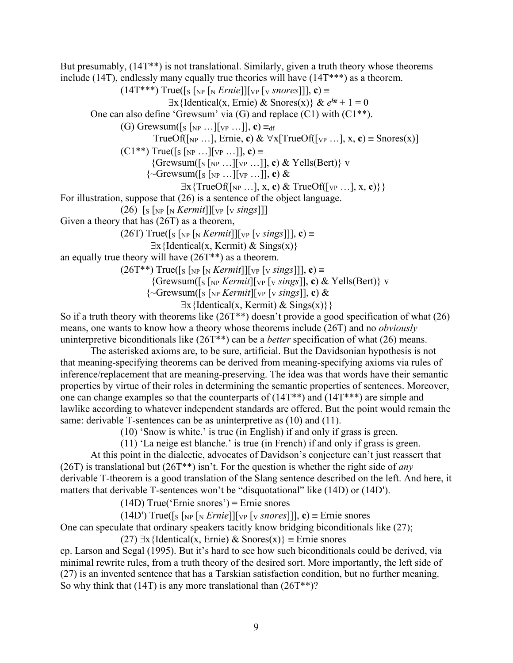But presumably, (14T\*\*) is not translational. Similarly, given a truth theory whose theorems include (14T), endlessly many equally true theories will have (14T\*\*\*) as a theorem.  $(14T^{***})$  True([s [<sub>NP</sub> [<sub>N</sub> *Ernie*]][<sub>VP</sub> [<sub>V</sub> *snores*]]], **c**) =  $\exists$ x{Identical(x, Ernie) & Snores(x)} &  $e^{i\pi} + 1 = 0$ One can also define 'Grewsum' via (G) and replace (C1) with (C1\*\*).

(G) Grewsum( $[s \mid_{NP} ... ] [vp ...]$ , **c**)  $\equiv_{df}$ 

TrueOf( $\lceil N_P \ldots \rceil$ , Ernie, **c**) &  $\forall x$ [TrueOf( $\lceil v_P \ldots \rceil$ , x, **c**) = Snores(x)]

 $(C1^{**})$  True([s [NP ...][VP ...]], **c**) =

 ${Grewsum([s [NP ...][vp ...]], c) & Yells(Bert)} \, v$ 

 $\{\sim$ Grewsum([s [NP ...][VP ...]], **c**) &

 $\exists$ x{TrueOf( $\lceil_{NP}$  ..., $\vert$ , x, c) & TrueOf( $\lceil_{VP}$  ..., $\vert$ , x, c)} }

For illustration, suppose that (26) is a sentence of the object language.

 $(26)$  [s [NP [N *Kermit*]][VP [V *sings*]]]

Given a theory that has (26T) as a theorem,

(26T) True([s [NP [N *Kermit*]][VP [V *sings*]]], **c**)  $\equiv$ 

 $\exists x \{ \text{Identical}(x, \text{Kermit}) \& \text{Sings}(x) \}$ 

an equally true theory will have (26T\*\*) as a theorem.

 $(26T^{**})$  True([s [<sub>NP</sub> [<sub>N</sub> *Kermit*]][<sub>VP</sub> [<sub>V</sub> *sings*]]], **c**) =

{Grewsum([S [NP *Kermit*][VP [V *sings*]], **c**) & Yells(Bert)} v

 $\{\sim$ Grewsum( $\lceil s \rceil_{NP}$  *Kermit* $\lceil v \rceil_{VP} \lceil v \sings \rceil$ , **c**) &

 $\exists x \{ \text{Identical}(x, \text{Kermit}) \& \text{Sings}(x) \}$ 

So if a truth theory with theorems like  $(26T^{**})$  doesn't provide a good specification of what  $(26)$ means, one wants to know how a theory whose theorems include (26T) and no *obviously*  uninterpretive biconditionals like (26T\*\*) can be a *better* specification of what (26) means.

The asterisked axioms are, to be sure, artificial. But the Davidsonian hypothesis is not that meaning-specifying theorems can be derived from meaning-specifying axioms via rules of inference/replacement that are meaning-preserving. The idea was that words have their semantic properties by virtue of their roles in determining the semantic properties of sentences. Moreover, one can change examples so that the counterparts of  $(14T^{**})$  and  $(14T^{***})$  are simple and lawlike according to whatever independent standards are offered. But the point would remain the same: derivable T-sentences can be as uninterpretive as  $(10)$  and  $(11)$ .

(10) 'Snow is white.' is true (in English) if and only if grass is green.

(11) 'La neige est blanche.' is true (in French) if and only if grass is green.

At this point in the dialectic, advocates of Davidson's conjecture can't just reassert that (26T) is translational but (26T\*\*) isn't. For the question is whether the right side of *any* derivable T-theorem is a good translation of the Slang sentence described on the left. And here, it matters that derivable T-sentences won't be "disquotational" like (14D) or (14D').

 $(14D)$  True('Ernie snores') = Ernie snores

(14D') True([s [NP [N *Ernie*]][VP [V *snores*]], **c**) = Ernie snores

One can speculate that ordinary speakers tacitly know bridging biconditionals like (27);

(27)  $\exists$ x{Identical(x, Ernie) & Snores(x)} = Ernie snores

cp. Larson and Segal (1995). But it's hard to see how such biconditionals could be derived, via minimal rewrite rules, from a truth theory of the desired sort. More importantly, the left side of (27) is an invented sentence that has a Tarskian satisfaction condition, but no further meaning. So why think that  $(14T)$  is any more translational than  $(26T^{**})$ ?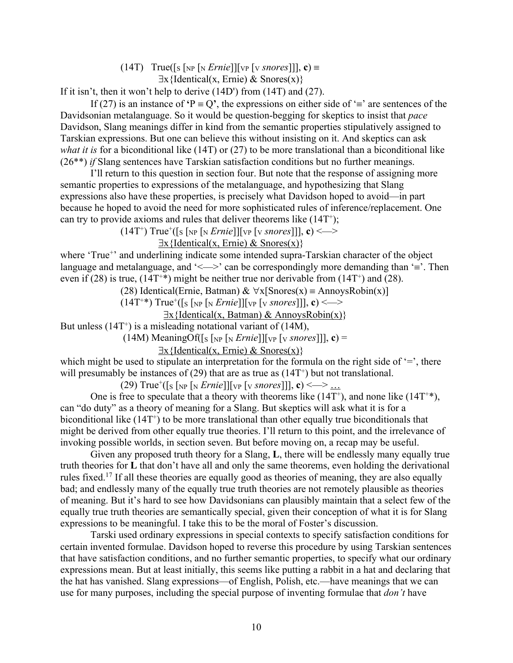$(14T)$  True([s [<sub>NP</sub> [<sub>N</sub> *Ernie*]][<sub>VP</sub> [<sub>V</sub> *snores*]]], **c**) =

 $\exists x \{ \text{Identical}(x, \text{Ernie}) \& \text{Snores}(x) \}$ 

If it isn't, then it won't help to derive (14D') from (14T) and (27).

If (27) is an instance of  $\mathbf{P} = \mathbf{Q}'$ , the expressions on either side of  $\equiv$  are sentences of the Davidsonian metalanguage. So it would be question-begging for skeptics to insist that *pace*  Davidson, Slang meanings differ in kind from the semantic properties stipulatively assigned to Tarskian expressions. But one can believe this without insisting on it. And skeptics can ask *what it is* for a biconditional like (14T) or (27) to be more translational than a biconditional like (26\*\*) *if* Slang sentences have Tarskian satisfaction conditions but no further meanings.

I'll return to this question in section four. But note that the response of assigning more semantic properties to expressions of the metalanguage, and hypothesizing that Slang expressions also have these properties, is precisely what Davidson hoped to avoid—in part because he hoped to avoid the need for more sophisticated rules of inference/replacement. One can try to provide axioms and rules that deliver theorems like  $(14T^*)$ ;

 $(14T^+)$  True<sup>+</sup>([s [<sub>NP</sub> [<sub>N</sub> *Ernie*]][<sub>VP</sub> [<sub>V</sub> *snores*]]], **c**) <  $\Longrightarrow$ 

 $\exists x \{ \text{Identical}(x, \text{Ernie}) \& \text{Snores}(x) \}$ 

where 'True<sup>+</sup>' and underlining indicate some intended supra-Tarskian character of the object language and metalanguage, and ' $\leq$   $\geq$ ' can be correspondingly more demanding than '='. Then even if (28) is true,  $(14T^{+*})$  might be neither true nor derivable from  $(14T^{+})$  and (28).

(28) Identical(Ernie, Batman) &  $\forall x$ [Snores(x) = AnnoysRobin(x)]

 $(14T^{**})$  True<sup>+</sup>([s [<sub>NP</sub> [<sub>N</sub> *Ernie*]][<sub>VP</sub> [<sub>V</sub> *snores*]]], **c**) < —>

 $\exists x \{ Identical(x, Batman) \& AnnovsRobin(x)\}\$ 

But unless  $(14T<sup>+</sup>)$  is a misleading notational variant of  $(14M)$ ,

 $(14M)$  MeaningOf( $[s \lceil_{NP} [N \text{ } Ernie]] [VP \lceil_{VP} [N \text{ } snores]]], c$ ) =

 $\exists x \{ \text{Identical}(x, \text{Ernie}) \& \text{Snores}(x) \}$ 

which might be used to stipulate an interpretation for the formula on the right side of '=', there will presumably be instances of (29) that are as true as  $(14T<sup>+</sup>)$  but not translational.

 $(29)$  True<sup>+</sup>([s [<sub>NP</sub> [<sub>N</sub> *Ernie*]][<sub>VP</sub> [<sub>V</sub> *snores*]]], **c**) < — > ...

One is free to speculate that a theory with theorems like  $(14T^*)$ , and none like  $(14T^{**})$ , can "do duty" as a theory of meaning for a Slang. But skeptics will ask what it is for a biconditional like  $(14T<sup>+</sup>)$  to be more translational than other equally true biconditionals that might be derived from other equally true theories. I'll return to this point, and the irrelevance of invoking possible worlds, in section seven. But before moving on, a recap may be useful.

Given any proposed truth theory for a Slang, **L**, there will be endlessly many equally true truth theories for **L** that don't have all and only the same theorems, even holding the derivational rules fixed.17 If all these theories are equally good as theories of meaning, they are also equally bad; and endlessly many of the equally true truth theories are not remotely plausible as theories of meaning. But it's hard to see how Davidsonians can plausibly maintain that a select few of the equally true truth theories are semantically special, given their conception of what it is for Slang expressions to be meaningful. I take this to be the moral of Foster's discussion.

Tarski used ordinary expressions in special contexts to specify satisfaction conditions for certain invented formulae. Davidson hoped to reverse this procedure by using Tarskian sentences that have satisfaction conditions, and no further semantic properties, to specify what our ordinary expressions mean. But at least initially, this seems like putting a rabbit in a hat and declaring that the hat has vanished. Slang expressions—of English, Polish, etc.—have meanings that we can use for many purposes, including the special purpose of inventing formulae that *don't* have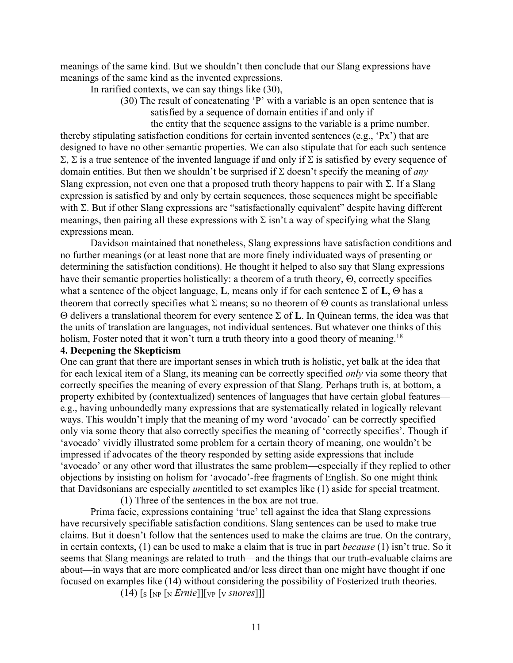meanings of the same kind. But we shouldn't then conclude that our Slang expressions have meanings of the same kind as the invented expressions.

In rarified contexts, we can say things like (30),

(30) The result of concatenating 'P' with a variable is an open sentence that is satisfied by a sequence of domain entities if and only if

 the entity that the sequence assigns to the variable is a prime number. thereby stipulating satisfaction conditions for certain invented sentences (e.g., 'Px') that are designed to have no other semantic properties. We can also stipulate that for each such sentence  $\Sigma$ ,  $\Sigma$  is a true sentence of the invented language if and only if  $\Sigma$  is satisfied by every sequence of domain entities. But then we shouldn't be surprised if  $\Sigma$  doesn't specify the meaning of *any* Slang expression, not even one that a proposed truth theory happens to pair with  $\Sigma$ . If a Slang expression is satisfied by and only by certain sequences, those sequences might be specifiable with  $\Sigma$ . But if other Slang expressions are "satisfactionally equivalent" despite having different meanings, then pairing all these expressions with  $\Sigma$  isn't a way of specifying what the Slang expressions mean.

Davidson maintained that nonetheless, Slang expressions have satisfaction conditions and no further meanings (or at least none that are more finely individuated ways of presenting or determining the satisfaction conditions). He thought it helped to also say that Slang expressions have their semantic properties holistically: a theorem of a truth theory,  $\Theta$ , correctly specifies what a sentence of the object language, **L**, means only if for each sentence  $\Sigma$  of **L**,  $\Theta$  has a theorem that correctly specifies what  $\Sigma$  means; so no theorem of  $\Theta$  counts as translational unless  $\Theta$  delivers a translational theorem for every sentence  $\Sigma$  of **L**. In Quinean terms, the idea was that the units of translation are languages, not individual sentences. But whatever one thinks of this holism, Foster noted that it won't turn a truth theory into a good theory of meaning.<sup>18</sup>

### **4. Deepening the Skepticism**

One can grant that there are important senses in which truth is holistic, yet balk at the idea that for each lexical item of a Slang, its meaning can be correctly specified *only* via some theory that correctly specifies the meaning of every expression of that Slang. Perhaps truth is, at bottom, a property exhibited by (contextualized) sentences of languages that have certain global features e.g., having unboundedly many expressions that are systematically related in logically relevant ways. This wouldn't imply that the meaning of my word 'avocado' can be correctly specified only via some theory that also correctly specifies the meaning of 'correctly specifies'. Though if 'avocado' vividly illustrated some problem for a certain theory of meaning, one wouldn't be impressed if advocates of the theory responded by setting aside expressions that include 'avocado' or any other word that illustrates the same problem—especially if they replied to other objections by insisting on holism for 'avocado'-free fragments of English. So one might think that Davidsonians are especially *un*entitled to set examples like (1) aside for special treatment.

(1) Three of the sentences in the box are not true.

Prima facie, expressions containing 'true' tell against the idea that Slang expressions have recursively specifiable satisfaction conditions. Slang sentences can be used to make true claims. But it doesn't follow that the sentences used to make the claims are true. On the contrary, in certain contexts, (1) can be used to make a claim that is true in part *because* (1) isn't true. So it seems that Slang meanings are related to truth—and the things that our truth-evaluable claims are about—in ways that are more complicated and/or less direct than one might have thought if one focused on examples like (14) without considering the possibility of Fosterized truth theories.

 $(14)$  [s [NP [N *Ernie*]][VP [V *snores*]]]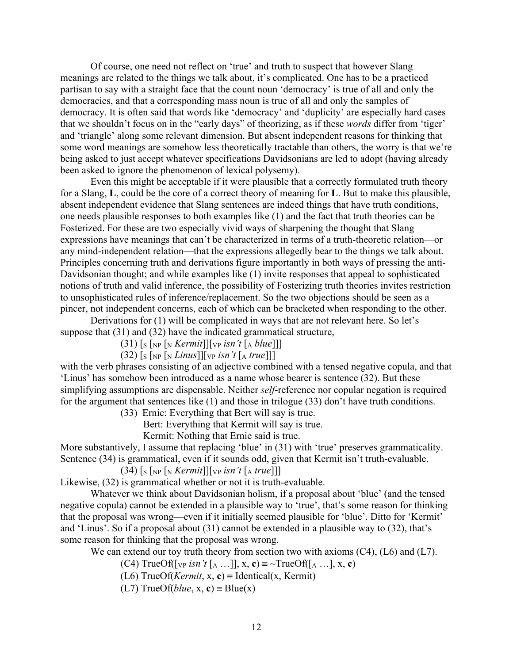Of course, one need not reflect on 'true' and truth to suspect that however Slang meanings are related to the things we talk about, it's complicated. One has to be a practiced partisan to say with a straight face that the count noun 'democracy' is true of all and only the democracies, and that a corresponding mass noun is true of all and only the samples of democracy. It is often said that words like 'democracy' and 'duplicity' are especially hard cases that we shouldn't focus on in the "early days" of theorizing, as if these *words* differ from 'tiger' and 'triangle' along some relevant dimension. But absent independent reasons for thinking that some word meanings are somehow less theoretically tractable than others, the worry is that we're being asked to just accept whatever specifications Davidsonians are led to adopt (having already been asked to ignore the phenomenon of lexical polysemy).

Even this might be acceptable if it were plausible that a correctly formulated truth theory for a Slang, **L**, could be the core of a correct theory of meaning for **L**. But to make this plausible, absent independent evidence that Slang sentences are indeed things that have truth conditions, one needs plausible responses to both examples like (1) and the fact that truth theories can be Fosterized. For these are two especially vivid ways of sharpening the thought that Slang expressions have meanings that can't be characterized in terms of a truth-theoretic relation—or any mind-independent relation—that the expressions allegedly bear to the things we talk about. Principles concerning truth and derivations figure importantly in both ways of pressing the anti-Davidsonian thought; and while examples like (1) invite responses that appeal to sophisticated notions of truth and valid inference, the possibility of Fosterizing truth theories invites restriction to unsophisticated rules of inference/replacement. So the two objections should be seen as a pincer, not independent concerns, each of which can be bracketed when responding to the other.

Derivations for (1) will be complicated in ways that are not relevant here. So let's suppose that (31) and (32) have the indicated grammatical structure,

 $(31)$  [s [NP [N *Kermit*]][VP *isn't* [A *blue*]]]

 $(32)$  [s [NP [N *Linus*]][VP *isn't* [A *true*]]]

with the verb phrases consisting of an adjective combined with a tensed negative copula, and that 'Linus' has somehow been introduced as a name whose bearer is sentence (32). But these simplifying assumptions are dispensable. Neither *self*-reference nor copular negation is required for the argument that sentences like (1) and those in trilogue (33) don't have truth conditions.

(33) Ernie: Everything that Bert will say is true.

Bert: Everything that Kermit will say is true.

Kermit: Nothing that Ernie said is true.

More substantively, I assume that replacing 'blue' in (31) with 'true' preserves grammaticality. Sentence (34) is grammatical, even if it sounds odd, given that Kermit isn't truth-evaluable.

 $(34)$  [s [NP [N *Kermit*]][VP *isn't* [A *true*]]]

Likewise, (32) is grammatical whether or not it is truth-evaluable.

Whatever we think about Davidsonian holism, if a proposal about 'blue' (and the tensed negative copula) cannot be extended in a plausible way to 'true', that's some reason for thinking that the proposal was wrong—even if it initially seemed plausible for 'blue'. Ditto for 'Kermit' and 'Linus'. So if a proposal about (31) cannot be extended in a plausible way to (32), that's some reason for thinking that the proposal was wrong.

We can extend our toy truth theory from section two with axioms (C4), (L6) and (L7).

(C4) TrueOf( $\lceil \sqrt{v} \rceil$  *isn't*  $\lceil A \ldots \rceil$ , x, **c**) =  $\sim$ TrueOf( $\lceil A \ldots \rceil$ , x, **c**)

(L6) TrueOf(*Kermit*, x, c) = Identical(x, Kermit)

 $(L7)$  TrueOf(*blue*, x, c) = Blue(x)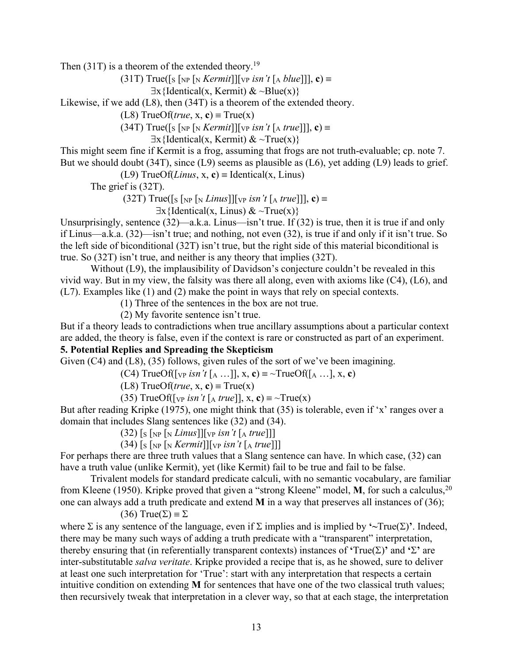Then  $(31T)$  is a theorem of the extended theory.<sup>19</sup>

(31T) True([S [NP [N *Kermit*]][VP *isn't* [A *blue*]]], **c**) º

 $\exists x \{ \text{Identical}(x, \text{Kermit}) \& \sim \text{Blue}(x) \}$ 

Likewise, if we add (L8), then (34T) is a theorem of the extended theory.

 $(L8)$  TrueOf(*true*, x, **c**) = True(x)

 $(34T)$  True( $\lceil s \rceil_{NP} \lceil s \cdot \lceil \frac{Kermit}{N} \rceil$  *(vp isn't*  $\lceil s \cdot \lceil \frac{K}{N} \rceil$  *(x)* =

 $\exists x \{ \text{Identical}(x, \text{Kermit}) \& \sim \text{True}(x) \}$ 

This might seem fine if Kermit is a frog, assuming that frogs are not truth-evaluable; cp. note 7. But we should doubt (34T), since (L9) seems as plausible as (L6), yet adding (L9) leads to grief.

(L9) TrueOf(*Linus*, x, c) = Identical(x, Linus)

The grief is (32T).

 $(32T)$  True([s [<sub>NP</sub> [<sub>N</sub> *Linus*]][<sub>VP</sub> *isn't* [<sub>A</sub> *true*]]], **c**) =

 $\exists x \{ \text{Identical}(x, \text{Linus}) \& \sim \text{True}(x) \}$ 

Unsurprisingly, sentence (32)—a.k.a. Linus—isn't true. If (32) is true, then it is true if and only if Linus—a.k.a. (32)—isn't true; and nothing, not even (32), is true if and only if it isn't true. So the left side of biconditional (32T) isn't true, but the right side of this material biconditional is true. So (32T) isn't true, and neither is any theory that implies (32T).

Without (L9), the implausibility of Davidson's conjecture couldn't be revealed in this vivid way. But in my view, the falsity was there all along, even with axioms like (C4), (L6), and (L7). Examples like (1) and (2) make the point in ways that rely on special contexts.

(1) Three of the sentences in the box are not true.

(2) My favorite sentence isn't true.

But if a theory leads to contradictions when true ancillary assumptions about a particular context are added, the theory is false, even if the context is rare or constructed as part of an experiment. **5. Potential Replies and Spreading the Skepticism**

Given (C4) and (L8), (35) follows, given rules of the sort of we've been imagining.

(C4) TrueOf( $\lceil \sqrt{v} \rceil$  *isn't*  $\lceil A \cdots \rceil$ , x, **c**) =  $\sim$ TrueOf( $\lceil A \cdots \rceil$ , x, **c**)

 $(L8)$  TrueOf(*true*, x, **c**) = True(x)

(35) TrueOf( $\lceil \sqrt{v} \rceil$  *isn't*  $\lceil \sqrt{a} \text{ true} \rceil$ , x, c) =  $\sim$ True(x)

But after reading Kripke (1975), one might think that (35) is tolerable, even if 'x' ranges over a domain that includes Slang sentences like (32) and (34).

 $(32)$  [s [NP [N *Linus*]][VP *isn't* [A *true*]]]

 $(34)$  [s [NP [N *Kermit*]][VP *isn't* [A *true*]]]

For perhaps there are three truth values that a Slang sentence can have. In which case, (32) can have a truth value (unlike Kermit), yet (like Kermit) fail to be true and fail to be false.

Trivalent models for standard predicate calculi, with no semantic vocabulary, are familiar from Kleene (1950). Kripke proved that given a "strong Kleene" model, **M**, for such a calculus, 20 one can always add a truth predicate and extend **M** in a way that preserves all instances of (36);

(36) True( $\Sigma$ )  $\equiv \Sigma$ 

where  $\Sigma$  is any sentence of the language, even if  $\Sigma$  implies and is implied by  $\sim$ True( $\Sigma$ )'. Indeed, there may be many such ways of adding a truth predicate with a "transparent" interpretation, thereby ensuring that (in referentially transparent contexts) instances of **'** $True(Σ)$ ' and **'** $Σ$ ' are inter-substitutable *salva veritate*. Kripke provided a recipe that is, as he showed, sure to deliver at least one such interpretation for 'True': start with any interpretation that respects a certain intuitive condition on extending **M** for sentences that have one of the two classical truth values; then recursively tweak that interpretation in a clever way, so that at each stage, the interpretation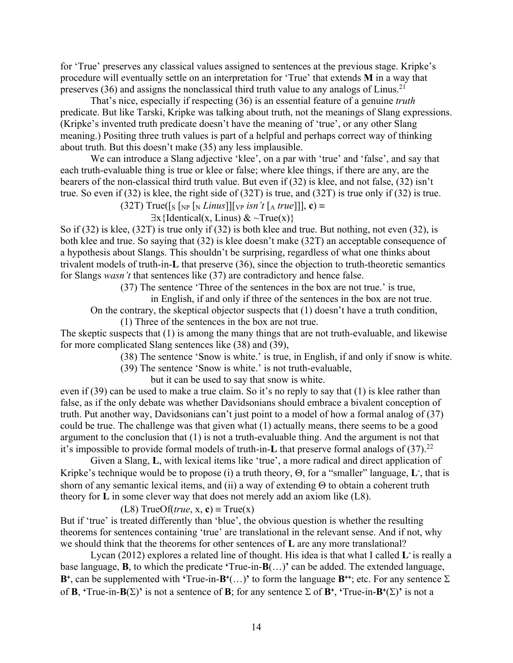for 'True' preserves any classical values assigned to sentences at the previous stage. Kripke's procedure will eventually settle on an interpretation for 'True' that extends **M** in a way that preserves  $(36)$  and assigns the nonclassical third truth value to any analogs of Linus.<sup>21</sup>

That's nice, especially if respecting (36) is an essential feature of a genuine *truth* predicate. But like Tarski, Kripke was talking about truth, not the meanings of Slang expressions. (Kripke's invented truth predicate doesn't have the meaning of 'true', or any other Slang meaning.) Positing three truth values is part of a helpful and perhaps correct way of thinking about truth. But this doesn't make (35) any less implausible.

We can introduce a Slang adjective 'klee', on a par with 'true' and 'false', and say that each truth-evaluable thing is true or klee or false; where klee things, if there are any, are the bearers of the non-classical third truth value. But even if (32) is klee, and not false, (32) isn't true. So even if (32) is klee, the right side of (32T) is true, and (32T) is true only if (32) is true.

(32T) True( $[s \in [N] \in [N] \cup [N]$  *[VP isn't*  $[A \text{ true}]]$ , **c**) =

 $\exists x \{ \text{Identical}(x, \text{Linus}) \& \sim \text{True}(x) \}$ 

So if (32) is klee, (32T) is true only if (32) is both klee and true. But nothing, not even (32), is both klee and true. So saying that (32) is klee doesn't make (32T) an acceptable consequence of a hypothesis about Slangs. This shouldn't be surprising, regardless of what one thinks about trivalent models of truth-in-**L** that preserve (36), since the objection to truth-theoretic semantics for Slangs *wasn't* that sentences like (37) are contradictory and hence false.

(37) The sentence 'Three of the sentences in the box are not true.' is true,

in English, if and only if three of the sentences in the box are not true.

On the contrary, the skeptical objector suspects that (1) doesn't have a truth condition,

(1) Three of the sentences in the box are not true.

The skeptic suspects that (1) is among the many things that are not truth-evaluable, and likewise for more complicated Slang sentences like (38) and (39),

(38) The sentence 'Snow is white.' is true, in English, if and only if snow is white.

(39) The sentence 'Snow is white.' is not truth-evaluable,

but it can be used to say that snow is white.

even if (39) can be used to make a true claim. So it's no reply to say that (1) is klee rather than false, as if the only debate was whether Davidsonians should embrace a bivalent conception of truth. Put another way, Davidsonians can't just point to a model of how a formal analog of (37) could be true. The challenge was that given what (1) actually means, there seems to be a good argument to the conclusion that (1) is not a truth-evaluable thing. And the argument is not that it's impossible to provide formal models of truth-in-L that preserve formal analogs of (37).<sup>22</sup>

Given a Slang, **L**, with lexical items like 'true', a more radical and direct application of Kripke's technique would be to propose (i) a truth theory,  $\Theta$ , for a "smaller" language, **L**, that is shorn of any semantic lexical items, and (ii) a way of extending  $\Theta$  to obtain a coherent truth theory for **L** in some clever way that does not merely add an axiom like (L8).

 $(L8)$  TrueOf(*true*, x, c) = True(x)

But if 'true' is treated differently than 'blue', the obvious question is whether the resulting theorems for sentences containing 'true' are translational in the relevant sense. And if not, why we should think that the theorems for other sentences of **L** are any more translational?

Lycan (2012) explores a related line of thought. His idea is that what I called **L-** is really a base language, **B**, to which the predicate **'**True-in-**B**(…)**'** can be added. The extended language, **B**<sup> $+$ </sup>, can be supplemented with **'**True-in-**B**<sup> $+$ </sup>(...)' to form the language **B**<sup> $+$ </sup>; etc. For any sentence  $\Sigma$ of **B**, **'**True-in-**B**( $\Sigma$ )' is not a sentence of **B**; for any sentence  $\Sigma$  of **B**<sup>+</sup>, **'**True-in-**B**<sup>+</sup>( $\Sigma$ )' is not a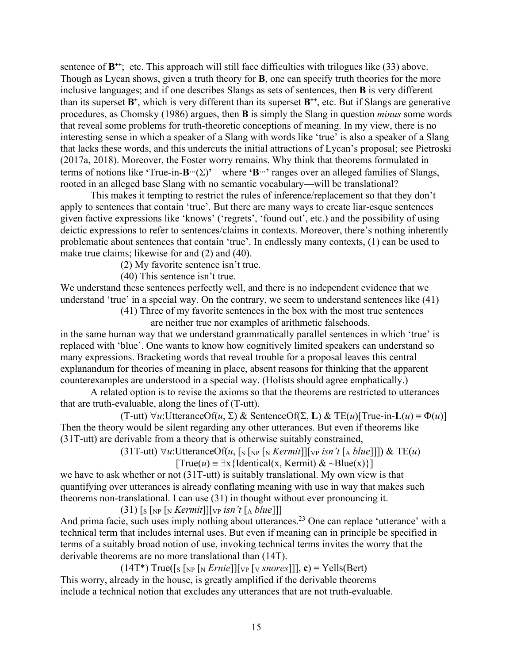sentence of **B<sup>++</sup>**; etc. This approach will still face difficulties with trilogues like (33) above. Though as Lycan shows, given a truth theory for **B**, one can specify truth theories for the more inclusive languages; and if one describes Slangs as sets of sentences, then **B** is very different than its superset **B<sup>+</sup>** , which is very different than its superset **B++** , etc. But if Slangs are generative procedures, as Chomsky (1986) argues, then **B** is simply the Slang in question *minus* some words that reveal some problems for truth-theoretic conceptions of meaning. In my view, there is no interesting sense in which a speaker of a Slang with words like 'true' is also a speaker of a Slang that lacks these words, and this undercuts the initial attractions of Lycan's proposal; see Pietroski (2017a, 2018). Moreover, the Foster worry remains. Why think that theorems formulated in terms of notions like **'**True-in- $B$ <sup>…</sup>( $\Sigma$ )'—where **'B…'** ranges over an alleged families of Slangs, rooted in an alleged base Slang with no semantic vocabulary—will be translational?

This makes it tempting to restrict the rules of inference/replacement so that they don't apply to sentences that contain 'true'. But there are many ways to create liar-esque sentences given factive expressions like 'knows' ('regrets', 'found out', etc.) and the possibility of using deictic expressions to refer to sentences/claims in contexts. Moreover, there's nothing inherently problematic about sentences that contain 'true'. In endlessly many contexts, (1) can be used to make true claims; likewise for and (2) and (40).

(2) My favorite sentence isn't true.

(40) This sentence isn't true.

We understand these sentences perfectly well, and there is no independent evidence that we understand 'true' in a special way. On the contrary, we seem to understand sentences like (41)

(41) Three of my favorite sentences in the box with the most true sentences are neither true nor examples of arithmetic falsehoods.

in the same human way that we understand grammatically parallel sentences in which 'true' is replaced with 'blue'. One wants to know how cognitively limited speakers can understand so many expressions. Bracketing words that reveal trouble for a proposal leaves this central explanandum for theories of meaning in place, absent reasons for thinking that the apparent counterexamples are understood in a special way. (Holists should agree emphatically.)

A related option is to revise the axioms so that the theorems are restricted to utterances that are truth-evaluable, along the lines of (T-utt).

 $(T$ -utt)  $\forall u$ :UtteranceOf $(u, \Sigma)$  & SentenceOf $(\Sigma, L)$  & TE $(u)$ [True-in-L $(u) \equiv \Phi(u)$ ] Then the theory would be silent regarding any other utterances. But even if theorems like (31T-utt) are derivable from a theory that is otherwise suitably constrained,

> $(31T$ -utt)  $\forall u$ :UtteranceOf(*u*, [s [NP [N *Kermit*]][VP *isn't* [A *blue*]]]) & TE(*u*)  $[True(u) = \exists x \{ Identical(x, Kernit) \& \sim Blue(x) \}]$

we have to ask whether or not (31T-utt) is suitably translational. My own view is that quantifying over utterances is already conflating meaning with use in way that makes such theorems non-translational. I can use (31) in thought without ever pronouncing it.

 $(31)$  [s [NP [N *Kermit*]][VP *isn't* [A *blue*]]]

And prima facie, such uses imply nothing about utterances.<sup>23</sup> One can replace 'utterance' with a technical term that includes internal uses. But even if meaning can in principle be specified in terms of a suitably broad notion of use, invoking technical terms invites the worry that the derivable theorems are no more translational than (14T).

 $(14T^*)$  True([s [<sub>NP</sub> [<sub>N</sub> *Ernie*]][<sub>VP</sub> [<sub>V</sub> *snores*]]], **c**) = Yells(Bert) This worry, already in the house, is greatly amplified if the derivable theorems include a technical notion that excludes any utterances that are not truth-evaluable.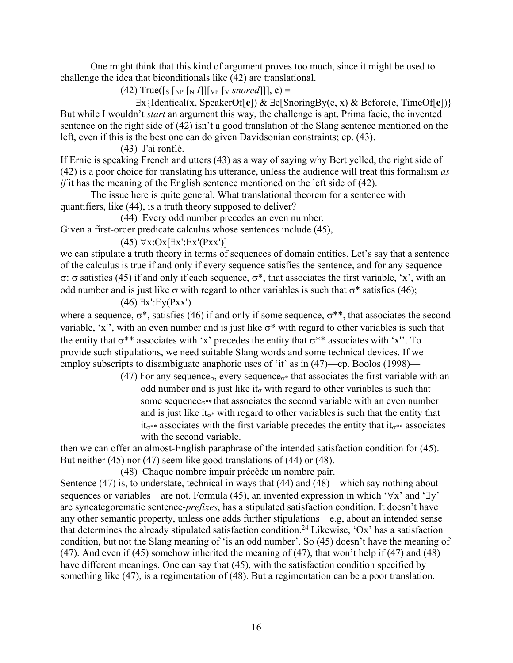One might think that this kind of argument proves too much, since it might be used to challenge the idea that biconditionals like (42) are translational.

 $(42)$  True([s [NP [N *I*]][VP [V *snored*]]], **c**) =

 $\exists$ x{Identical(x, SpeakerOf[**c**]) &  $\exists$ e[SnoringBy(e, x) & Before(e, TimeOf[**c**])} But while I wouldn't *start* an argument this way, the challenge is apt. Prima facie, the invented sentence on the right side of (42) isn't a good translation of the Slang sentence mentioned on the left, even if this is the best one can do given Davidsonian constraints; cp. (43).

(43) J'ai ronflé.

If Ernie is speaking French and utters (43) as a way of saying why Bert yelled, the right side of (42) is a poor choice for translating his utterance, unless the audience will treat this formalism *as if* it has the meaning of the English sentence mentioned on the left side of (42).

The issue here is quite general. What translational theorem for a sentence with quantifiers, like (44), is a truth theory supposed to deliver?

(44) Every odd number precedes an even number.

Given a first-order predicate calculus whose sentences include (45),

 $(45)$   $\forall$ x:Ox[ $\exists$ x':Ex'(Pxx')]

we can stipulate a truth theory in terms of sequences of domain entities. Let's say that a sentence of the calculus is true if and only if every sequence satisfies the sentence, and for any sequence  $\sigma$ :  $\sigma$  satisfies (45) if and only if each sequence,  $\sigma^*$ , that associates the first variable, 'x', with an odd number and is just like  $\sigma$  with regard to other variables is such that  $\sigma^*$  satisfies (46);

 $(46)$   $\exists$ x':Ey(Pxx')

where a sequence,  $\sigma^*$ , satisfies (46) if and only if some sequence,  $\sigma^{**}$ , that associates the second variable, 'x'', with an even number and is just like  $\sigma^*$  with regard to other variables is such that the entity that  $\sigma^{**}$  associates with 'x' precedes the entity that  $\sigma^{**}$  associates with 'x''. To provide such stipulations, we need suitable Slang words and some technical devices. If we employ subscripts to disambiguate anaphoric uses of 'it' as in (47)—cp. Boolos (1998)—

> (47) For any sequence<sub> $\sigma$ </sub>, every sequence<sub> $\sigma$ \*</sub> that associates the first variable with an odd number and is just like it<sub> $\sigma$ </sub> with regard to other variables is such that some sequence<sub> $\sigma^*$ </sub> that associates the second variable with an even number and is just like it<sub> $\sigma^*$ </sub> with regard to other variables is such that the entity that  $it_{\sigma^{**}}$  associates with the first variable precedes the entity that  $it_{\sigma^{**}}$  associates with the second variable.

then we can offer an almost-English paraphrase of the intended satisfaction condition for (45). But neither (45) nor (47) seem like good translations of (44) or (48).

(48) Chaque nombre impair précède un nombre pair.

Sentence (47) is, to understate, technical in ways that (44) and (48)—which say nothing about sequences or variables—are not. Formula (45), an invented expression in which ' $\forall x$ ' and ' $\exists y$ ' are syncategorematic sentence-*prefixes*, has a stipulated satisfaction condition. It doesn't have any other semantic property, unless one adds further stipulations—e.g, about an intended sense that determines the already stipulated satisfaction condition.24 Likewise, 'Ox' has a satisfaction condition, but not the Slang meaning of 'is an odd number'. So (45) doesn't have the meaning of (47). And even if (45) somehow inherited the meaning of (47), that won't help if (47) and (48) have different meanings. One can say that (45), with the satisfaction condition specified by something like (47), is a regimentation of (48). But a regimentation can be a poor translation.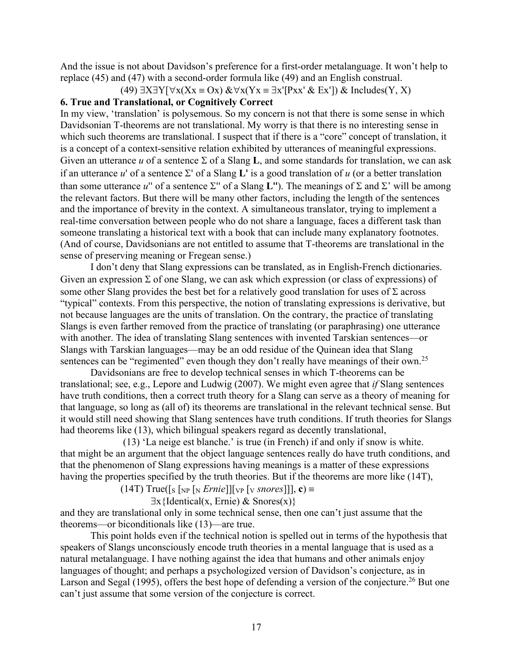And the issue is not about Davidson's preference for a first-order metalanguage. It won't help to replace (45) and (47) with a second-order formula like (49) and an English construal.

(49)  $\exists X \exists Y[\forall x(Xx \equiv Ox) \& \forall x(Yx \equiv \exists x'[Pxx' \& Ex']) \& Includes(Y, X)$ 

# **6. True and Translational, or Cognitively Correct**

In my view, 'translation' is polysemous. So my concern is not that there is some sense in which Davidsonian T-theorems are not translational. My worry is that there is no interesting sense in which such theorems are translational. I suspect that if there is a "core" concept of translation, it is a concept of a context-sensitive relation exhibited by utterances of meaningful expressions. Given an utterance *u* of a sentence  $\Sigma$  of a Slang **L**, and some standards for translation, we can ask if an utterance  $u'$  of a sentence  $\Sigma'$  of a Slang  $\mathbf{L}'$  is a good translation of  $u$  (or a better translation than some utterance  $u''$  of a sentence  $\Sigma''$  of a Slang **L**<sup>*''*</sup>). The meanings of  $\Sigma$  and  $\Sigma'$  will be among the relevant factors. But there will be many other factors, including the length of the sentences and the importance of brevity in the context. A simultaneous translator, trying to implement a real-time conversation between people who do not share a language, faces a different task than someone translating a historical text with a book that can include many explanatory footnotes. (And of course, Davidsonians are not entitled to assume that T-theorems are translational in the sense of preserving meaning or Fregean sense.)

I don't deny that Slang expressions can be translated, as in English-French dictionaries. Given an expression  $\Sigma$  of one Slang, we can ask which expression (or class of expressions) of some other Slang provides the best bet for a relatively good translation for uses of  $\Sigma$  across "typical" contexts. From this perspective, the notion of translating expressions is derivative, but not because languages are the units of translation. On the contrary, the practice of translating Slangs is even farther removed from the practice of translating (or paraphrasing) one utterance with another. The idea of translating Slang sentences with invented Tarskian sentences—or Slangs with Tarskian languages—may be an odd residue of the Quinean idea that Slang sentences can be "regimented" even though they don't really have meanings of their own.<sup>25</sup>

Davidsonians are free to develop technical senses in which T-theorems can be translational; see, e.g., Lepore and Ludwig (2007). We might even agree that *if* Slang sentences have truth conditions, then a correct truth theory for a Slang can serve as a theory of meaning for that language, so long as (all of) its theorems are translational in the relevant technical sense. But it would still need showing that Slang sentences have truth conditions. If truth theories for Slangs had theorems like (13), which bilingual speakers regard as decently translational,

(13) 'La neige est blanche.' is true (in French) if and only if snow is white. that might be an argument that the object language sentences really do have truth conditions, and that the phenomenon of Slang expressions having meanings is a matter of these expressions having the properties specified by the truth theories. But if the theorems are more like (14T),

 $(14T) True([s [NP [N *Ernie*]][VP [V *snores*]]], c) \equiv$ 

 $\exists x \{ \text{Identical}(x, \text{Ernie}) \& \text{Snores}(x) \}$ 

and they are translational only in some technical sense, then one can't just assume that the theorems—or biconditionals like (13)—are true.

This point holds even if the technical notion is spelled out in terms of the hypothesis that speakers of Slangs unconsciously encode truth theories in a mental language that is used as a natural metalanguage. I have nothing against the idea that humans and other animals enjoy languages of thought; and perhaps a psychologized version of Davidson's conjecture, as in Larson and Segal (1995), offers the best hope of defending a version of the conjecture.<sup>26</sup> But one can't just assume that some version of the conjecture is correct.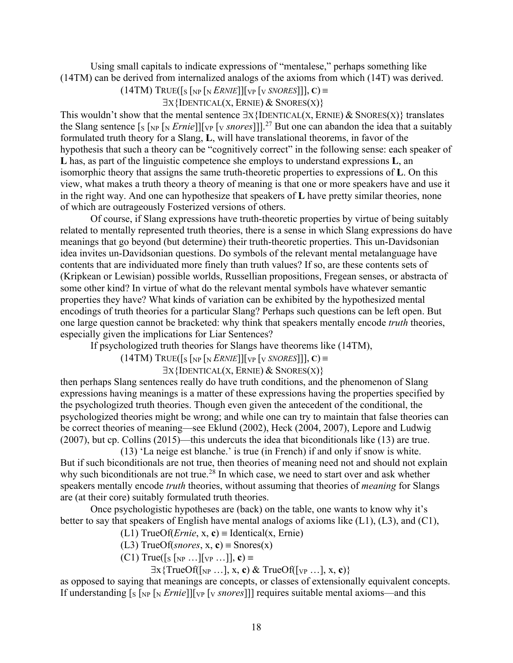Using small capitals to indicate expressions of "mentalese," perhaps something like (14TM) can be derived from internalized analogs of the axioms from which (14T) was derived.

```
(14TM) TRUE([s [NP [N ERNIE]][VP [V SNORES]]], C) =
```

```
\existsX{IDENTICAL(X, ERNIE) & SNORES(X)}
```
This wouldn't show that the mental sentence  $\exists x$  {IDENTICAL(X, ERNIE) & SNORES(X)} translates the Slang sentence [S [NP [N *Ernie*]][VP [V *snores*]]].27 But one can abandon the idea that a suitably formulated truth theory for a Slang, **L**, will have translational theorems, in favor of the hypothesis that such a theory can be "cognitively correct" in the following sense: each speaker of **L** has, as part of the linguistic competence she employs to understand expressions **L**, an isomorphic theory that assigns the same truth-theoretic properties to expressions of **L**. On this view, what makes a truth theory a theory of meaning is that one or more speakers have and use it in the right way. And one can hypothesize that speakers of **L** have pretty similar theories, none of which are outrageously Fosterized versions of others.

Of course, if Slang expressions have truth-theoretic properties by virtue of being suitably related to mentally represented truth theories, there is a sense in which Slang expressions do have meanings that go beyond (but determine) their truth-theoretic properties. This un-Davidsonian idea invites un-Davidsonian questions. Do symbols of the relevant mental metalanguage have contents that are individuated more finely than truth values? If so, are these contents sets of (Kripkean or Lewisian) possible worlds, Russellian propositions, Fregean senses, or abstracta of some other kind? In virtue of what do the relevant mental symbols have whatever semantic properties they have? What kinds of variation can be exhibited by the hypothesized mental encodings of truth theories for a particular Slang? Perhaps such questions can be left open. But one large question cannot be bracketed: why think that speakers mentally encode *truth* theories, especially given the implications for Liar Sentences?

If psychologized truth theories for Slangs have theorems like (14TM),

 $(14TM)$  TRUE $([s [NP [N *ERNIE*]] [VP [V *SNORES*]]], C) \equiv$ 

 $\exists$ X{IDENTICAL(X, ERNIE) & SNORES(X)}

then perhaps Slang sentences really do have truth conditions, and the phenomenon of Slang expressions having meanings is a matter of these expressions having the properties specified by the psychologized truth theories. Though even given the antecedent of the conditional, the psychologized theories might be wrong; and while one can try to maintain that false theories can be correct theories of meaning—see Eklund (2002), Heck (2004, 2007), Lepore and Ludwig (2007), but cp. Collins (2015)—this undercuts the idea that biconditionals like (13) are true.

(13) 'La neige est blanche.' is true (in French) if and only if snow is white. But if such biconditionals are not true, then theories of meaning need not and should not explain why such biconditionals are not true.<sup>28</sup> In which case, we need to start over and ask whether speakers mentally encode *truth* theories, without assuming that theories of *meaning* for Slangs are (at their core) suitably formulated truth theories.

Once psychologistic hypotheses are (back) on the table, one wants to know why it's better to say that speakers of English have mental analogs of axioms like (L1), (L3), and (C1),

(L1) TrueOf(*Ernie*, x, c) = Identical(x, Ernie)

(L3) TrueOf(*snores*, x, c) = Snores(x)

 $(C1)$  True([s [<sub>NP</sub> ...][<sub>VP</sub> ...]], **c**) =

 $\exists x \{TrueOf([NP ...], x, c) \& TrueOf([VP ...], x, c)\}$ 

as opposed to saying that meanings are concepts, or classes of extensionally equivalent concepts. If understanding  $[s]_{NP} [N \text{ } Ernie]] [V \text{ } N \text{ } or \text{ } res]]$  requires suitable mental axioms—and this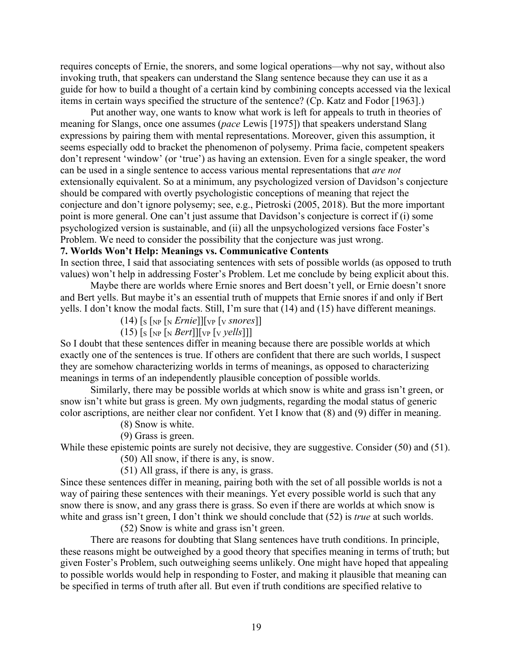requires concepts of Ernie, the snorers, and some logical operations—why not say, without also invoking truth, that speakers can understand the Slang sentence because they can use it as a guide for how to build a thought of a certain kind by combining concepts accessed via the lexical items in certain ways specified the structure of the sentence? (Cp. Katz and Fodor [1963].)

Put another way, one wants to know what work is left for appeals to truth in theories of meaning for Slangs, once one assumes (*pace* Lewis [1975]) that speakers understand Slang expressions by pairing them with mental representations. Moreover, given this assumption, it seems especially odd to bracket the phenomenon of polysemy. Prima facie, competent speakers don't represent 'window' (or 'true') as having an extension. Even for a single speaker, the word can be used in a single sentence to access various mental representations that *are not* extensionally equivalent. So at a minimum, any psychologized version of Davidson's conjecture should be compared with overtly psychologistic conceptions of meaning that reject the conjecture and don't ignore polysemy; see, e.g., Pietroski (2005, 2018). But the more important point is more general. One can't just assume that Davidson's conjecture is correct if (i) some psychologized version is sustainable, and (ii) all the unpsychologized versions face Foster's Problem. We need to consider the possibility that the conjecture was just wrong.

# **7. Worlds Won't Help: Meanings vs. Communicative Contents**

In section three, I said that associating sentences with sets of possible worlds (as opposed to truth values) won't help in addressing Foster's Problem. Let me conclude by being explicit about this.

Maybe there are worlds where Ernie snores and Bert doesn't yell, or Ernie doesn't snore and Bert yells. But maybe it's an essential truth of muppets that Ernie snores if and only if Bert yells. I don't know the modal facts. Still, I'm sure that (14) and (15) have different meanings.

 $(14)$  [s [NP [N *Ernie*]][<sub>VP</sub> [v *snores*]]

 $(15)$  [s [NP [N *Bert*]][VP [V *yells*]]]

So I doubt that these sentences differ in meaning because there are possible worlds at which exactly one of the sentences is true. If others are confident that there are such worlds, I suspect they are somehow characterizing worlds in terms of meanings, as opposed to characterizing meanings in terms of an independently plausible conception of possible worlds.

Similarly, there may be possible worlds at which snow is white and grass isn't green, or snow isn't white but grass is green. My own judgments, regarding the modal status of generic color ascriptions, are neither clear nor confident. Yet I know that (8) and (9) differ in meaning.

(8) Snow is white.

(9) Grass is green.

While these epistemic points are surely not decisive, they are suggestive. Consider (50) and (51).

(50) All snow, if there is any, is snow.

(51) All grass, if there is any, is grass.

Since these sentences differ in meaning, pairing both with the set of all possible worlds is not a way of pairing these sentences with their meanings. Yet every possible world is such that any snow there is snow, and any grass there is grass. So even if there are worlds at which snow is white and grass isn't green, I don't think we should conclude that (52) is *true* at such worlds.

(52) Snow is white and grass isn't green.

There are reasons for doubting that Slang sentences have truth conditions. In principle, these reasons might be outweighed by a good theory that specifies meaning in terms of truth; but given Foster's Problem, such outweighing seems unlikely. One might have hoped that appealing to possible worlds would help in responding to Foster, and making it plausible that meaning can be specified in terms of truth after all. But even if truth conditions are specified relative to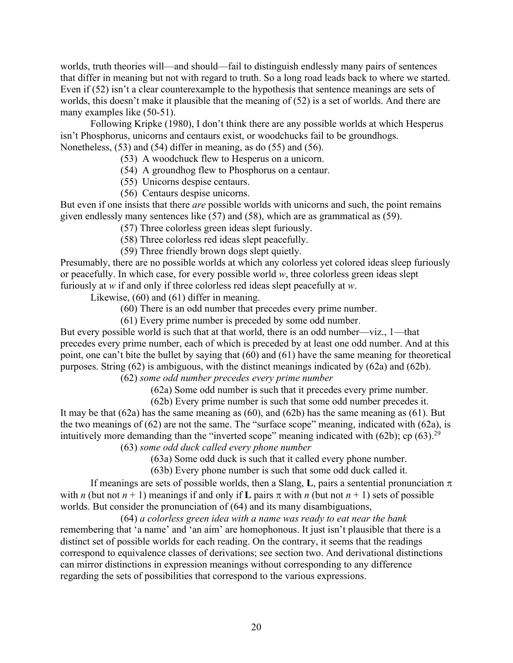worlds, truth theories will—and should—fail to distinguish endlessly many pairs of sentences that differ in meaning but not with regard to truth. So a long road leads back to where we started. Even if (52) isn't a clear counterexample to the hypothesis that sentence meanings are sets of worlds, this doesn't make it plausible that the meaning of (52) is a set of worlds. And there are many examples like (50-51).

Following Kripke (1980), I don't think there are any possible worlds at which Hesperus isn't Phosphorus, unicorns and centaurs exist, or woodchucks fail to be groundhogs. Nonetheless, (53) and (54) differ in meaning, as do (55) and (56).

- (53) A woodchuck flew to Hesperus on a unicorn.
- (54) A groundhog flew to Phosphorus on a centaur.
- (55) Unicorns despise centaurs.
- (56) Centaurs despise unicorns.

But even if one insists that there *are* possible worlds with unicorns and such, the point remains given endlessly many sentences like (57) and (58), which are as grammatical as (59).

(57) Three colorless green ideas slept furiously.

- (58) Three colorless red ideas slept peacefully.
- (59) Three friendly brown dogs slept quietly.

Presumably, there are no possible worlds at which any colorless yet colored ideas sleep furiously or peacefully. In which case, for every possible world *w*, three colorless green ideas slept furiously at *w* if and only if three colorless red ideas slept peacefully at *w*.

Likewise, (60) and (61) differ in meaning.

(60) There is an odd number that precedes every prime number.

(61) Every prime number is preceded by some odd number.

But every possible world is such that at that world, there is an odd number—viz., 1—that precedes every prime number, each of which is preceded by at least one odd number. And at this point, one can't bite the bullet by saying that (60) and (61) have the same meaning for theoretical purposes. String (62) is ambiguous, with the distinct meanings indicated by (62a) and (62b).

(62) *some odd number precedes every prime number*

(62a) Some odd number is such that it precedes every prime number.

(62b) Every prime number is such that some odd number precedes it. It may be that  $(62a)$  has the same meaning as  $(60)$ , and  $(62b)$  has the same meaning as  $(61)$ . But the two meanings of (62) are not the same. The "surface scope" meaning, indicated with (62a), is intuitively more demanding than the "inverted scope" meaning indicated with  $(62b)$ ; cp  $(63)$ .<sup>29</sup>

(63) *some odd duck called every phone number*

(63a) Some odd duck is such that it called every phone number.

(63b) Every phone number is such that some odd duck called it.

If meanings are sets of possible worlds, then a Slang, **L**, pairs a sentential pronunciation  $\pi$ with *n* (but not  $n + 1$ ) meanings if and only if **L** pairs  $\pi$  with *n* (but not  $n + 1$ ) sets of possible worlds. But consider the pronunciation of (64) and its many disambiguations,

(64) *a colorless green idea with a name was ready to eat near the bank* remembering that 'a name' and 'an aim' are homophonous. It just isn't plausible that there is a distinct set of possible worlds for each reading. On the contrary, it seems that the readings correspond to equivalence classes of derivations; see section two. And derivational distinctions can mirror distinctions in expression meanings without corresponding to any difference regarding the sets of possibilities that correspond to the various expressions.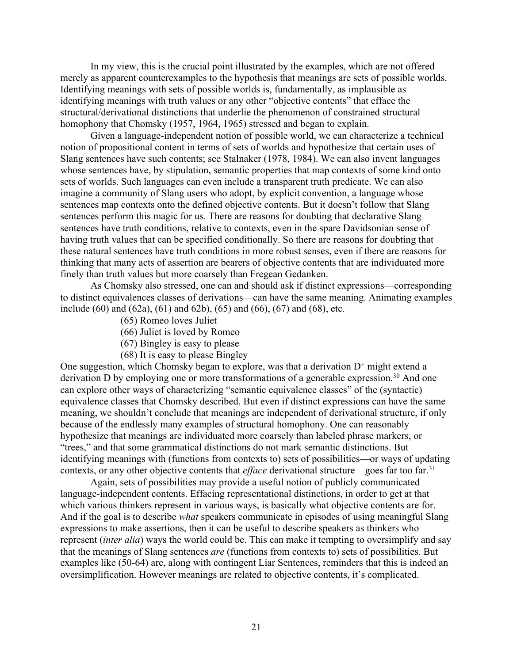In my view, this is the crucial point illustrated by the examples, which are not offered merely as apparent counterexamples to the hypothesis that meanings are sets of possible worlds. Identifying meanings with sets of possible worlds is, fundamentally, as implausible as identifying meanings with truth values or any other "objective contents" that efface the structural/derivational distinctions that underlie the phenomenon of constrained structural homophony that Chomsky (1957, 1964, 1965) stressed and began to explain.

Given a language-independent notion of possible world, we can characterize a technical notion of propositional content in terms of sets of worlds and hypothesize that certain uses of Slang sentences have such contents; see Stalnaker (1978, 1984). We can also invent languages whose sentences have, by stipulation, semantic properties that map contexts of some kind onto sets of worlds. Such languages can even include a transparent truth predicate. We can also imagine a community of Slang users who adopt, by explicit convention, a language whose sentences map contexts onto the defined objective contents. But it doesn't follow that Slang sentences perform this magic for us. There are reasons for doubting that declarative Slang sentences have truth conditions, relative to contexts, even in the spare Davidsonian sense of having truth values that can be specified conditionally. So there are reasons for doubting that these natural sentences have truth conditions in more robust senses, even if there are reasons for thinking that many acts of assertion are bearers of objective contents that are individuated more finely than truth values but more coarsely than Fregean Gedanken.

As Chomsky also stressed, one can and should ask if distinct expressions—corresponding to distinct equivalences classes of derivations—can have the same meaning. Animating examples include (60) and (62a), (61) and 62b), (65) and (66), (67) and (68), etc.

- (65) Romeo loves Juliet
- (66) Juliet is loved by Romeo
- (67) Bingley is easy to please
- (68) It is easy to please Bingley

One suggestion, which Chomsky began to explore, was that a derivation  $D^+$  might extend a derivation D by employing one or more transformations of a generable expression.<sup>30</sup> And one can explore other ways of characterizing "semantic equivalence classes" of the (syntactic) equivalence classes that Chomsky described. But even if distinct expressions can have the same meaning, we shouldn't conclude that meanings are independent of derivational structure, if only because of the endlessly many examples of structural homophony. One can reasonably hypothesize that meanings are individuated more coarsely than labeled phrase markers, or "trees," and that some grammatical distinctions do not mark semantic distinctions. But identifying meanings with (functions from contexts to) sets of possibilities—or ways of updating contexts, or any other objective contents that *efface* derivational structure—goes far too far.<sup>31</sup>

Again, sets of possibilities may provide a useful notion of publicly communicated language-independent contents. Effacing representational distinctions, in order to get at that which various thinkers represent in various ways, is basically what objective contents are for. And if the goal is to describe *what* speakers communicate in episodes of using meaningful Slang expressions to make assertions, then it can be useful to describe speakers as thinkers who represent (*inter alia*) ways the world could be. This can make it tempting to oversimplify and say that the meanings of Slang sentences *are* (functions from contexts to) sets of possibilities. But examples like (50-64) are, along with contingent Liar Sentences, reminders that this is indeed an oversimplification. However meanings are related to objective contents, it's complicated.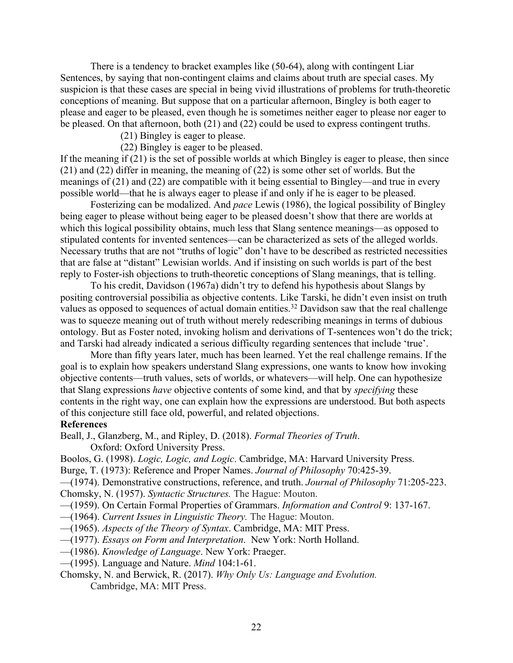There is a tendency to bracket examples like (50-64), along with contingent Liar Sentences, by saying that non-contingent claims and claims about truth are special cases. My suspicion is that these cases are special in being vivid illustrations of problems for truth-theoretic conceptions of meaning. But suppose that on a particular afternoon, Bingley is both eager to please and eager to be pleased, even though he is sometimes neither eager to please nor eager to be pleased. On that afternoon, both (21) and (22) could be used to express contingent truths.

(21) Bingley is eager to please.

(22) Bingley is eager to be pleased.

If the meaning if (21) is the set of possible worlds at which Bingley is eager to please, then since (21) and (22) differ in meaning, the meaning of (22) is some other set of worlds. But the meanings of (21) and (22) are compatible with it being essential to Bingley—and true in every possible world—that he is always eager to please if and only if he is eager to be pleased.

Fosterizing can be modalized. And *pace* Lewis (1986), the logical possibility of Bingley being eager to please without being eager to be pleased doesn't show that there are worlds at which this logical possibility obtains, much less that Slang sentence meanings—as opposed to stipulated contents for invented sentences—can be characterized as sets of the alleged worlds. Necessary truths that are not "truths of logic" don't have to be described as restricted necessities that are false at "distant" Lewisian worlds. And if insisting on such worlds is part of the best reply to Foster-ish objections to truth-theoretic conceptions of Slang meanings, that is telling.

To his credit, Davidson (1967a) didn't try to defend his hypothesis about Slangs by positing controversial possibilia as objective contents. Like Tarski, he didn't even insist on truth values as opposed to sequences of actual domain entities.<sup>32</sup> Davidson saw that the real challenge was to squeeze meaning out of truth without merely redescribing meanings in terms of dubious ontology. But as Foster noted, invoking holism and derivations of T-sentences won't do the trick; and Tarski had already indicated a serious difficulty regarding sentences that include 'true'.

More than fifty years later, much has been learned. Yet the real challenge remains. If the goal is to explain how speakers understand Slang expressions, one wants to know how invoking objective contents—truth values, sets of worlds, or whatevers—will help. One can hypothesize that Slang expressions *have* objective contents of some kind, and that by *specifying* these contents in the right way, one can explain how the expressions are understood. But both aspects of this conjecture still face old, powerful, and related objections.

#### **References**

Beall, J., Glanzberg, M., and Ripley, D. (2018). *Formal Theories of Truth*.

Oxford: Oxford University Press.

Boolos, G. (1998). *Logic, Logic, and Logic*. Cambridge, MA: Harvard University Press.

Burge, T. (1973): Reference and Proper Names. *Journal of Philosophy* 70:425-39.

—(1974). Demonstrative constructions, reference, and truth. *Journal of Philosophy* 71:205-223. Chomsky, N. (1957). *Syntactic Structures.* The Hague: Mouton.

—(1959). On Certain Formal Properties of Grammars. *Information and Control* 9: 137-167.

- —(1964). *Current Issues in Linguistic Theory.* The Hague: Mouton.
- —(1965). *Aspects of the Theory of Syntax*. Cambridge, MA: MIT Press.

—(1977). *Essays on Form and Interpretation*. New York: North Holland.

—(1986). *Knowledge of Language*. New York: Praeger.

—(1995). Language and Nature. *Mind* 104:1-61.

Chomsky, N. and Berwick, R. (2017). *Why Only Us: Language and Evolution.*  Cambridge, MA: MIT Press.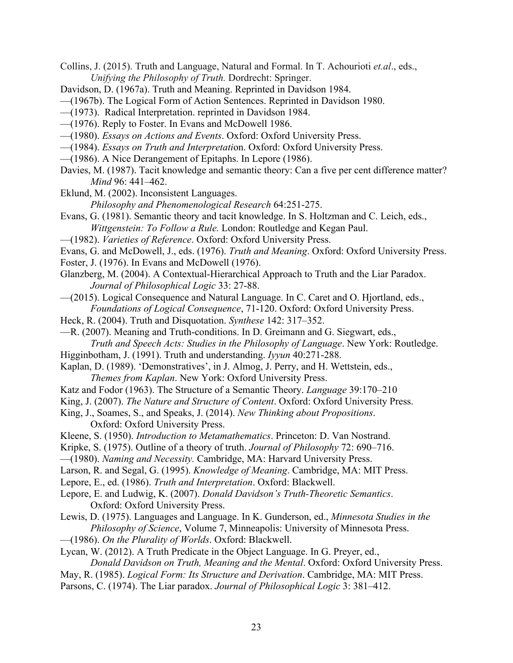- Collins, J. (2015). Truth and Language, Natural and Formal. In T. Achourioti *et.al*., eds., *Unifying the Philosophy of Truth.* Dordrecht: Springer.
- Davidson, D. (1967a). Truth and Meaning. Reprinted in Davidson 1984.
- —(1967b). The Logical Form of Action Sentences. Reprinted in Davidson 1980.
- —(1973). Radical Interpretation. reprinted in Davidson 1984.
- —(1976). Reply to Foster. In Evans and McDowell 1986.
- —(1980). *Essays on Actions and Events*. Oxford: Oxford University Press.
- —(1984). *Essays on Truth and Interpretati*on. Oxford: Oxford University Press.
- —(1986). A Nice Derangement of Epitaphs. In Lepore (1986).
- Davies, M. (1987). Tacit knowledge and semantic theory: Can a five per cent difference matter? *Mind* 96: 441–462.
- Eklund, M. (2002). Inconsistent Languages.
	- *Philosophy and Phenomenological Research* 64:251-275.
- Evans, G. (1981). Semantic theory and tacit knowledge. In S. Holtzman and C. Leich, eds., *Wittgenstein: To Follow a Rule.* London: Routledge and Kegan Paul.
- —(1982). *Varieties of Reference*. Oxford: Oxford University Press.
- Evans, G. and McDowell, J., eds. (1976). *Truth and Meaning*. Oxford: Oxford University Press.
- Foster, J. (1976). In Evans and McDowell (1976).
- Glanzberg, M. (2004). A Contextual-Hierarchical Approach to Truth and the Liar Paradox. *Journal of Philosophical Logic* 33: 27-88.
- —(2015). Logical Consequence and Natural Language. In C. Caret and O. Hjortland, eds., *Foundations of Logical Consequence*, 71-120. Oxford: Oxford University Press.
- Heck, R. (2004). Truth and Disquotation. *Synthese* 142: 317–352.
- —R. (2007). Meaning and Truth-conditions. In D. Greimann and G. Siegwart, eds., *Truth and Speech Acts: Studies in the Philosophy of Language*. New York: Routledge.
- Higginbotham, J. (1991). Truth and understanding. *Iyyun* 40:271-288.
- Kaplan, D. (1989). 'Demonstratives', in J. Almog, J. Perry, and H. Wettstein, eds., *Themes from Kaplan*. New York: Oxford University Press.
- Katz and Fodor (1963). The Structure of a Semantic Theory. *Language* 39:170–210
- King, J. (2007). *The Nature and Structure of Content*. Oxford: Oxford University Press.
- King, J., Soames, S., and Speaks, J. (2014). *New Thinking about Propositions*. Oxford: Oxford University Press.
- Kleene, S. (1950). *Introduction to Metamathematics*. Princeton: D. Van Nostrand.
- Kripke, S. (1975). Outline of a theory of truth. *Journal of Philosophy* 72: 690–716.
- —(1980). *Naming and Necessity.* Cambridge, MA: Harvard University Press.
- Larson, R. and Segal, G. (1995). *Knowledge of Meaning*. Cambridge, MA: MIT Press.
- Lepore, E., ed. (1986). *Truth and Interpretation*. Oxford: Blackwell.
- Lepore, E. and Ludwig, K. (2007). *Donald Davidson's Truth-Theoretic Semantics*. Oxford: Oxford University Press.
- Lewis, D. (1975). Languages and Language. In K. Gunderson, ed., *Minnesota Studies in the Philosophy of Science*, Volume 7, Minneapolis: University of Minnesota Press.
- —(1986). *On the Plurality of Worlds*. Oxford: Blackwell.
- Lycan, W. (2012). A Truth Predicate in the Object Language. In G. Preyer, ed.,
- *Donald Davidson on Truth, Meaning and the Mental*. Oxford: Oxford University Press.
- May, R. (1985). *Logical Form: Its Structure and Derivation*. Cambridge, MA: MIT Press.
- Parsons, C. (1974). The Liar paradox. *Journal of Philosophical Logic* 3: 381–412.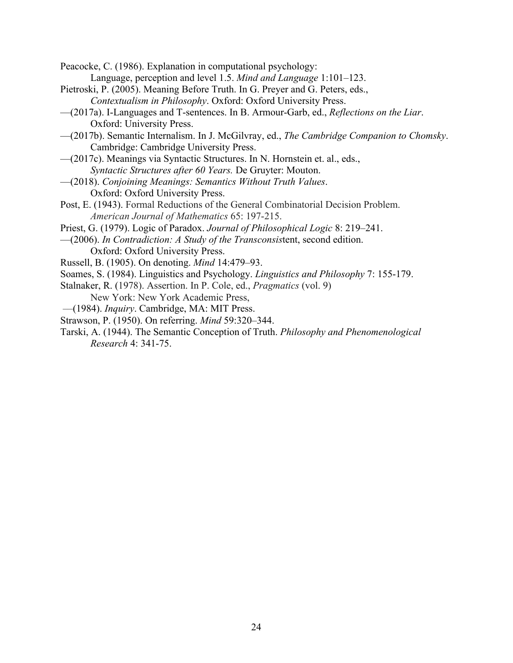Peacocke, C. (1986). Explanation in computational psychology: Language, perception and level 1.5. *Mind and Language* 1:101–123.

- Pietroski, P. (2005). Meaning Before Truth. In G. Preyer and G. Peters, eds., *Contextualism in Philosophy*. Oxford: Oxford University Press.
- —(2017a). I-Languages and T-sentences. In B. Armour-Garb, ed., *Reflections on the Liar*. Oxford: University Press.
- —(2017b). Semantic Internalism. In J. McGilvray, ed., *The Cambridge Companion to Chomsky*. Cambridge: Cambridge University Press.
- —(2017c). Meanings via Syntactic Structures. In N. Hornstein et. al., eds., *Syntactic Structures after 60 Years.* De Gruyter: Mouton.
- —(2018). *Conjoining Meanings: Semantics Without Truth Values*. Oxford: Oxford University Press.
- Post, E. (1943). Formal Reductions of the General Combinatorial Decision Problem. *American Journal of Mathematics* 65: 197-215.
- Priest, G. (1979). Logic of Paradox. *Journal of Philosophical Logic* 8: 219–241.
- —(2006). *In Contradiction: A Study of the Transconsis*tent, second edition.
- Oxford: Oxford University Press.
- Russell, B. (1905). On denoting. *Mind* 14:479–93.
- Soames, S. (1984). Linguistics and Psychology. *Linguistics and Philosophy* 7: 155-179.
- Stalnaker, R. (1978). Assertion. In P. Cole, ed., *Pragmatics* (vol. 9)
	- New York: New York Academic Press,
- ––(1984). *Inquiry*. Cambridge, MA: MIT Press.
- Strawson, P. (1950). On referring. *Mind* 59:320–344.
- Tarski, A. (1944). The Semantic Conception of Truth. *Philosophy and Phenomenological Research* 4: 341-75.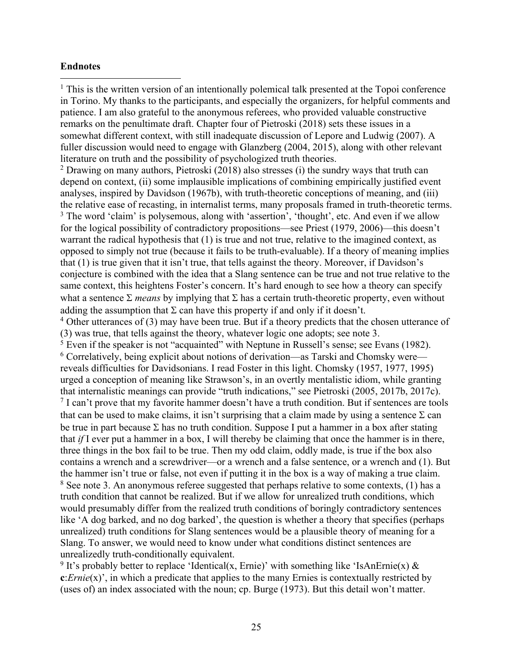# **Endnotes**

<sup>1</sup> This is the written version of an intentionally polemical talk presented at the Topoi conference in Torino. My thanks to the participants, and especially the organizers, for helpful comments and patience. I am also grateful to the anonymous referees, who provided valuable constructive remarks on the penultimate draft. Chapter four of Pietroski (2018) sets these issues in a somewhat different context, with still inadequate discussion of Lepore and Ludwig (2007). A fuller discussion would need to engage with Glanzberg (2004, 2015), along with other relevant literature on truth and the possibility of psychologized truth theories.

 $2$  Drawing on many authors, Pietroski (2018) also stresses (i) the sundry ways that truth can depend on context, (ii) some implausible implications of combining empirically justified event analyses, inspired by Davidson (1967b), with truth-theoretic conceptions of meaning, and (iii) the relative ease of recasting, in internalist terms, many proposals framed in truth-theoretic terms. <sup>3</sup> The word 'claim' is polysemous, along with 'assertion', 'thought', etc. And even if we allow for the logical possibility of contradictory propositions—see Priest (1979, 2006)—this doesn't warrant the radical hypothesis that (1) is true and not true, relative to the imagined context, as opposed to simply not true (because it fails to be truth-evaluable). If a theory of meaning implies that (1) is true given that it isn't true, that tells against the theory. Moreover, if Davidson's conjecture is combined with the idea that a Slang sentence can be true and not true relative to the same context, this heightens Foster's concern. It's hard enough to see how a theory can specify what a sentence  $\Sigma$  *means* by implying that  $\Sigma$  has a certain truth-theoretic property, even without adding the assumption that  $\Sigma$  can have this property if and only if it doesn't.

 $4$  Other utterances of (3) may have been true. But if a theory predicts that the chosen utterance of (3) was true, that tells against the theory, whatever logic one adopts; see note 3.

 $5$  Even if the speaker is not "acquainted" with Neptune in Russell's sense; see Evans (1982). <sup>6</sup> Correlatively, being explicit about notions of derivation—as Tarski and Chomsky were reveals difficulties for Davidsonians. I read Foster in this light. Chomsky (1957, 1977, 1995) urged a conception of meaning like Strawson's, in an overtly mentalistic idiom, while granting that internalistic meanings can provide "truth indications," see Pietroski (2005, 2017b, 2017c). <sup>7</sup> I can't prove that my favorite hammer doesn't have a truth condition. But if sentences are tools that can be used to make claims, it isn't surprising that a claim made by using a sentence  $\Sigma$  can be true in part because  $\Sigma$  has no truth condition. Suppose I put a hammer in a box after stating that *if* I ever put a hammer in a box, I will thereby be claiming that once the hammer is in there, three things in the box fail to be true. Then my odd claim, oddly made, is true if the box also contains a wrench and a screwdriver—or a wrench and a false sentence, or a wrench and (1). But the hammer isn't true or false, not even if putting it in the box is a way of making a true claim.  $8$  See note 3. An anonymous referee suggested that perhaps relative to some contexts, (1) has a truth condition that cannot be realized. But if we allow for unrealized truth conditions, which would presumably differ from the realized truth conditions of boringly contradictory sentences like 'A dog barked, and no dog barked', the question is whether a theory that specifies (perhaps unrealized) truth conditions for Slang sentences would be a plausible theory of meaning for a Slang. To answer, we would need to know under what conditions distinct sentences are unrealizedly truth-conditionally equivalent.

<sup>9</sup> It's probably better to replace 'Identical(x, Ernie)' with something like 'IsAnErnie(x)  $\&$ **c**:*Ernie*(x)', in which a predicate that applies to the many Ernies is contextually restricted by (uses of) an index associated with the noun; cp. Burge (1973). But this detail won't matter.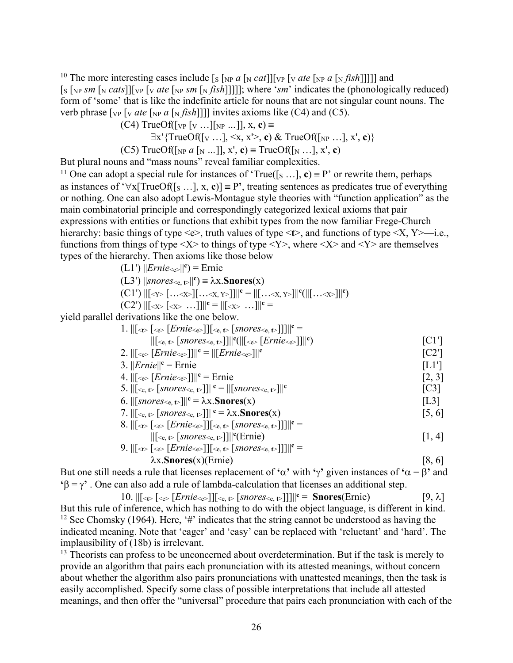<sup>10</sup> The more interesting cases include  $[s \gamma_R a \gamma_S \tau_M]$  [v<sub>P</sub>  $\gamma_R$  *ate*  $[\gamma_R a \gamma_R f_I]$ ]]] and  $\lceil s \rceil_{NP}$  *sm*  $\lceil N \cdot \text{cats} \rceil$   $\lceil \sqrt{VP} \cdot \sqrt{V} \cdot \text{cats}$   $\lceil N \cdot \text{cats} \cdot \sqrt{N} \cdot \text{cats} \rceil$  indicates the (phonologically reduced) form of 'some' that is like the indefinite article for nouns that are not singular count nouns. The verb phrase  $\lceil \text{vp } \rceil$  *v ate*  $\lceil \text{vp } a \rceil$  *n fish*]]] invites axioms like (C4) and (C5).

 $(C4)$  TrueOf( $[v_P [v \dots][v_R \dots]]$ , x, c) =

$$
\exists x' \{TrueOf([v \dots], \leq x, x' >, c) \& TrueOf([v \dots], x', c)\}
$$

(C5) TrueOf( $\left[\text{NP } a \left[\text{N } \dots \right]\right]$ ,  $x'$ , **c**)  $\equiv$  TrueOf( $\left[\text{N } \dots \right]$ ,  $x'$ , **c**)

But plural nouns and "mass nouns" reveal familiar complexities.

<sup>11</sup> One can adopt a special rule for instances of 'True([s ...], **c**) = P' or rewrite them, perhaps as instances of ' $\forall x$ [TrueOf([s ...], x, c)] = P', treating sentences as predicates true of everything or nothing. One can also adopt Lewis-Montague style theories with "function application" as the main combinatorial principle and correspondingly categorized lexical axioms that pair expressions with entities or functions that exhibit types from the now familiar Frege-Church hierarchy: basic things of type  $\leq e$ , truth values of type  $\leq t$ , and functions of type  $\leq X$ , Y $\geq$ —i.e., functions from things of type  $\langle X \rangle$  to things of type  $\langle Y \rangle$ , where  $\langle X \rangle$  and  $\langle Y \rangle$  are themselves types of the hierarchy. Then axioms like those below

 $(L1')$   $||\text{Ernie}_{\leq e}||^c$ ) = Ernie

 $(L3')$  ||snores<e,  $t$ >||<sup>c</sup>) =  $\lambda$ x.**Snores**(x)

$$
(C1') ||[Y> [...X>][...X,Y]<||c = ||[...X,Y>]||c(||[...X>X]<||c)
$$

(C2') 
$$
||[ []
$$
 ...]]||<sup>c</sup> = ||[ ...]]|<sup>c</sup> =

yield parallel derivations like the one below.

| 1. $\  \cdot \ _{\leq t} \leq \sqrt{\epsilon}$ [ <i>Ernie</i> $\leq$ ] $\leq$ $\epsilon$ , $t$ [ <i>snores</i> $\leq$ , $t$ )]] $\  \cdot \ $                                                               |                                      |
|-------------------------------------------------------------------------------------------------------------------------------------------------------------------------------------------------------------|--------------------------------------|
| $\ S_{\rm{ce},t>}[snores_{\rm{ce},t>}]\ $ <sup>c</sup> ( $\ S_{\rm{ce},t}[Ernie_{\rm{ce},t}] \ $ <sup>c</sup> )                                                                                             | $\lceil C1' \rceil$                  |
| 2. $\ [\cdot_{e>}[Ernie_{\leq c}]]\ ^c = \ [Ernie_{\leq c}] \ ^{c}$                                                                                                                                         | $\left[$ $C2$ <sup>'</sup> $\right]$ |
| 3. $\ Ernie\ ^c = Ernie$                                                                                                                                                                                    | [L1']                                |
| 4. $\ [\cdot_{e>}[Ernie_{\cdot e}]]\ ^c =$ Ernie                                                                                                                                                            | [2, 3]                               |
| 5. $\ [\mathcal{E}_{\mathsf{e}, t} \in [snores_{\mathcal{E}, t}] \ ]^{c} = \ [snores_{\mathcal{E}, t} \in] \ ^{c}$                                                                                          | $\lceil C3 \rceil$                   |
| 6. $\ \int$ <i>snores</i> $\lt_{e, t}$ $\geq$ $\ \cdot\ ^c = \lambda x$ . <b>Snores</b> $(x)$                                                                                                               | [L3]                                 |
| 7. $\  \cdot \ _{\leq \mathbf{e}, \mathbf{t}}$ [snores <sub><math>\leq \mathbf{e}, \mathbf{t}</math></sub> ]] $\  \cdot \mathbf{e} = \lambda \mathbf{x}$ . <b>Snores</b> $(\mathbf{x})$                     | [5, 6]                               |
| 8. $\ [\leq_{\mathbb{C}} \leq \leq [Ernie \leq_{\mathbb{C}}\] \  \leq_{\mathbb{C}, \mathbb{C}} \leq \leq [snores \leq_{\mathbb{C}, \mathbb{C}}\] \  \ ^{\mathbb{C}} =$                                      |                                      |
| $\ S_{\rm c},S $ [ <i>snores</i> $\leq_{\rm c},\leq$ ]] $\ S(\text{Ernie})\ $                                                                                                                               | [1, 4]                               |
| 9. $\ [\langle \cdot \rangle \cdot \langle \cdot \rangle \cdot \langle \cdot \rangle] \  \langle \cdot \rangle \cdot \langle \cdot \rangle$ [snores $\langle \cdot \rangle \cdot \langle \cdot \rangle$ ]]] |                                      |

$$
\lambda x. \text{Snores}(x) \text{ (Ermec)} \text{Hence} \text{F.} \text{F.} \text{F.} \text{F.} \text{F.} \text{F.} \text{F.} \text{F.} \text{F.} \text{F.} \text{F.} \text{F.} \text{F.} \text{F.} \text{F.} \text{F.} \text{F.} \text{F.} \text{F.} \text{F.} \text{F.} \text{F.} \text{F.} \text{F.} \text{F.} \text{F.} \text{F.} \text{F.} \text{F.} \text{F.} \text{F.} \text{F.} \text{F.} \text{F.} \text{F.} \text{F.} \text{F.} \text{F.} \text{F.} \text{F.} \text{F.} \text{F.} \text{F.} \text{F.} \text{F.} \text{F.} \text{F.} \text{F.} \text{F.} \text{F.} \text{F.} \text{F.} \text{F.} \text{F.} \text{F.} \text{F.} \text{F.} \text{F.} \text{F.} \text{F.} \text{F.} \text{F.} \text{F.} \text{F.} \text{F.} \text{F.} \text{F.} \text{F.} \text{F.} \text{F.} \text{F.} \text{F.} \text{F.} \text{F.} \text{F.} \text{F.} \text{F.} \text{F.} \text{F.} \text{F.} \text{F.} \text{F.} \text{F.} \text{F.} \text{F.} \text{F.} \text{F.} \text{F.} \text{F.} \text{F.} \text{F.} \text{F.} \text{F.} \text{F.} \text{F.} \text{F.} \text{F.} \text{F.} \text{F.} \text{F.} \text{F.} \text{F.} \text{F.} \text{F.} \text{F.} \text{F.} \text{F.} \text{F.} \text{F.} \text{F.} \text{F.} \text{F.} \text{F.} \text{F.} \text{F.} \text{F.} \text{F.} \text{F.} \text{F.} \text{F.} \text{F.} \text{F.} \text
$$

But one still needs a rule that licenses replacement of  $\alpha$ <sup>'</sup> with  $\gamma$ <sup>'</sup> given instances of  $\alpha = \beta$ ' and  $\mathbf{B} = \gamma^*$ . One can also add a rule of lambda-calculation that licenses an additional step.

10.  $\| \{\leq \epsilon \}$  [ $\leq \epsilon \geq \frac{[Ernie \leq \epsilon]}{[sner \leq \epsilon]}$  [*snores* $\leq \epsilon, \epsilon$ ]]] $\| \mathbf{c} = \mathbf{Snores}(\text{Ernie})$  [9,  $\lambda$ ] But this rule of inference, which has nothing to do with the object language, is different in kind. <sup>12</sup> See Chomsky (1964). Here, '#' indicates that the string cannot be understood as having the indicated meaning. Note that 'eager' and 'easy' can be replaced with 'reluctant' and 'hard'. The implausibility of (18b) is irrelevant.

<sup>13</sup> Theorists can profess to be unconcerned about overdetermination. But if the task is merely to provide an algorithm that pairs each pronunciation with its attested meanings, without concern about whether the algorithm also pairs pronunciations with unattested meanings, then the task is easily accomplished. Specify some class of possible interpretations that include all attested meanings, and then offer the "universal" procedure that pairs each pronunciation with each of the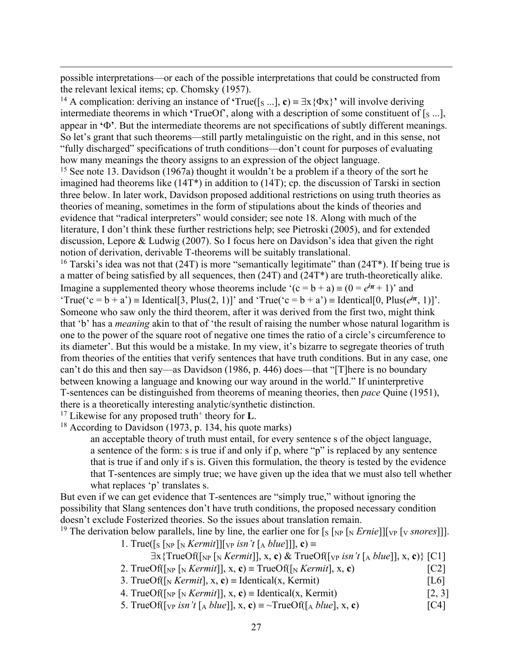possible interpretations—or each of the possible interpretations that could be constructed from the relevant lexical items; cp. Chomsky (1957).

<sup>14</sup> A complication: deriving an instance of **'**True([s ...], **c**)  $\equiv \exists x {\Phi x}$ <sup>'</sup> will involve deriving intermediate theorems in which **'**TrueOf', along with a description of some constituent of [S ...], appear in  $\Phi$ <sup> $\Phi$ </sup>. But the intermediate theorems are not specifications of subtly different meanings. So let's grant that such theorems—still partly metalinguistic on the right, and in this sense, not "fully discharged" specifications of truth conditions—don't count for purposes of evaluating how many meanings the theory assigns to an expression of the object language.

<sup>15</sup> See note 13. Davidson (1967a) thought it wouldn't be a problem if a theory of the sort he imagined had theorems like (14T\*) in addition to (14T); cp. the discussion of Tarski in section three below. In later work, Davidson proposed additional restrictions on using truth theories as theories of meaning, sometimes in the form of stipulations about the kinds of theories and evidence that "radical interpreters" would consider; see note 18. Along with much of the literature, I don't think these further restrictions help; see Pietroski (2005), and for extended discussion, Lepore & Ludwig (2007). So I focus here on Davidson's idea that given the right notion of derivation, derivable T-theorems will be suitably translational.

<sup>16</sup> Tarski's idea was not that (24T) is more "semantically legitimate" than (24T<sup>\*</sup>). If being true is a matter of being satisfied by all sequences, then (24T) and (24T\*) are truth-theoretically alike. Imagine a supplemented theory whose theorems include '(c = b + a) =  $(0 = e^{i\pi} + 1)$ ' and 'True('c = b + a') = Identical[3, Plus(2, 1)]' and 'True('c = b + a') = Identical[0, Plus( $e^{i\pi}$ , 1)]'. Someone who saw only the third theorem, after it was derived from the first two, might think that 'b' has a *meaning* akin to that of 'the result of raising the number whose natural logarithm is one to the power of the square root of negative one times the ratio of a circle's circumference to its diameter'. But this would be a mistake. In my view, it's bizarre to segregate theories of truth from theories of the entities that verify sentences that have truth conditions. But in any case, one can't do this and then say—as Davidson (1986, p. 446) does—that "[T]here is no boundary between knowing a language and knowing our way around in the world." If uninterpretive T-sentences can be distinguished from theorems of meaning theories, then *pace* Quine (1951), there is a theoretically interesting analytic/synthetic distinction.

<sup>17</sup> Likewise for any proposed truth<sup>+</sup> theory for **L**.

<sup>18</sup> According to Davidson (1973, p. 134, his quote marks)

an acceptable theory of truth must entail, for every sentence s of the object language, a sentence of the form: s is true if and only if p, where "p" is replaced by any sentence that is true if and only if s is. Given this formulation, the theory is tested by the evidence that T-sentences are simply true; we have given up the idea that we must also tell whether what replaces 'p' translates s.

But even if we can get evidence that T-sentences are "simply true," without ignoring the possibility that Slang sentences don't have truth conditions, the proposed necessary condition doesn't exclude Fosterized theories. So the issues about translation remain.

<sup>19</sup> The derivation below parallels, line by line, the earlier one for  $[s \lfloor NP \lfloor N \rfloor] \lfloor VP \lfloor N \rfloor \lfloor N \rfloor]$ .

1. True( $[s \sup [N] \times \mathbb{R}$  *[Mermit*]]  $[s \in \mathbb{R} \times \mathbb{R} \times \mathbb{R} \times \mathbb{R} \times \mathbb{R} \times \mathbb{R} \times \mathbb{R} \times \mathbb{R} \times \mathbb{R} \times \mathbb{R} \times \mathbb{R} \times \mathbb{R} \times \mathbb{R} \times \mathbb{R} \times \mathbb{R} \times \mathbb{R} \times \mathbb{R} \times \mathbb{R} \times \mathbb{R} \times \mathbb{R} \times \mathbb{R} \times \mathbb{R} \times \mathbb{$ 

 $\exists$ x{TrueOf([<sub>NP</sub> [<sub>N</sub> *Kermit*]], x, c) & TrueOf([<sub>VP</sub> *isn't* [A *blue*]], x, c)} [C1]

- 2. TrueOf( $\lceil_{NP} \lceil_{N} \text{Kermit} \rceil$ ),  $x, c$ ) = TrueOf( $\lceil_{N} \text{Kermit} \rceil$ ,  $x, c$ ) [C2]
- 3. TrueOf( $\lceil N \cdot \frac{1}{N} \cdot \frac{1}{N} \rceil$ , x, c) = Identical(x, Kermit) [L6]

4. TrueOf( $\begin{bmatrix} \text{NP} \text{N} & \text{Kermit} \end{bmatrix}$ , x, c) = Identical(x, Kermit) [2, 3]

5. TrueOf( $\lceil \sqrt{v} \rceil$  *isn't*  $\lceil \sqrt{A} \text{ blue} \rceil$ ,  $\sqrt{x}$ ,  $\mathbf{c}$ ) =  $\sim$ TrueOf( $\lceil \sqrt{A} \text{ blue} \rceil$ ,  $\sqrt{x}$ ,  $\mathbf{c}$ )  $\lceil \text{C4} \rceil$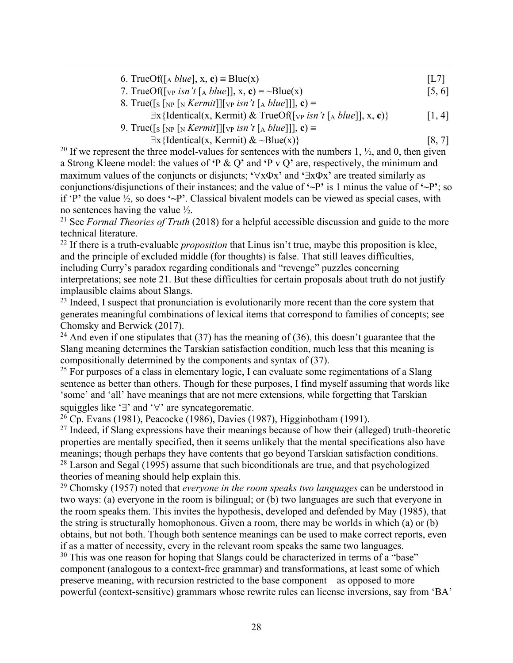| 6. TrueOf( $\lceil_{A} blue \rceil$ , x, c) = Blue(x)                                                                                                           | L7     |
|-----------------------------------------------------------------------------------------------------------------------------------------------------------------|--------|
| 7. TrueOf( $[\sqrt{p} \sin' t \times h \times h \times c] \equiv \sim \text{Blue}(x)$                                                                           | [5, 6] |
| 8. True( $\lceil s \rceil_{\text{NP}}$ $\lceil s \rceil_{\text{NP}}$ <i>Kermit</i> ]] $\lceil v \rceil$ <i>isn't</i> $\lceil s \rceil_{\text{AP}}$ <i>k</i> ) = |        |
| $\exists$ x{Identical(x, Kermit) & TrueOf([ <sub>VP</sub> isn't [ <sub>A</sub> blue]], x, c)}                                                                   | 1, 4   |
| 9. True([s [NP [N Kermit]][vp isn't [A blue]], $c$ ) =                                                                                                          |        |
| $\exists x \{ \text{Identical}(x, \text{Kermit}) \& \sim \text{Blue}(x) \}$                                                                                     | [8, 7] |

<sup>20</sup> If we represent the three model-values for sentences with the numbers 1,  $\frac{1}{2}$ , and 0, then given a Strong Kleene model: the values of **'**P & Q**'** and **'**P v Q**'** are, respectively, the minimum and maximum values of the conjuncts or disjuncts:  $\forall x \Phi x$  and  $\exists x \Phi x$  are treated similarly as conjunctions/disjunctions of their instances; and the value of **'~**P**'** is 1 minus the value of **'~**P**'**; so if 'P**'** the value ½, so does **'~**P**'**. Classical bivalent models can be viewed as special cases, with no sentences having the value ½.

<sup>21</sup> See *Formal Theories of Truth* (2018) for a helpful accessible discussion and guide to the more technical literature.

<sup>22</sup> If there is a truth-evaluable *proposition* that Linus isn't true, maybe this proposition is klee, and the principle of excluded middle (for thoughts) is false. That still leaves difficulties, including Curry's paradox regarding conditionals and "revenge" puzzles concerning interpretations; see note 21. But these difficulties for certain proposals about truth do not justify implausible claims about Slangs.

 $23$  Indeed, I suspect that pronunciation is evolutionarily more recent than the core system that generates meaningful combinations of lexical items that correspond to families of concepts; see Chomsky and Berwick (2017).

<sup>24</sup> And even if one stipulates that (37) has the meaning of (36), this doesn't guarantee that the Slang meaning determines the Tarskian satisfaction condition, much less that this meaning is compositionally determined by the components and syntax of (37).

 $25$  For purposes of a class in elementary logic, I can evaluate some regimentations of a Slang sentence as better than others. Though for these purposes, I find myself assuming that words like 'some' and 'all' have meanings that are not mere extensions, while forgetting that Tarskian squiggles like ' $\exists$ ' and ' $\forall$ ' are syncategorematic.

 $26$  Cp. Evans (1981), Peacocke (1986), Davies (1987), Higginbotham (1991).

 $27$  Indeed, if Slang expressions have their meanings because of how their (alleged) truth-theoretic properties are mentally specified, then it seems unlikely that the mental specifications also have meanings; though perhaps they have contents that go beyond Tarskian satisfaction conditions. <sup>28</sup> Larson and Segal (1995) assume that such biconditionals are true, and that psychologized theories of meaning should help explain this.

<sup>29</sup> Chomsky (1957) noted that *everyone in the room speaks two languages* can be understood in two ways: (a) everyone in the room is bilingual; or (b) two languages are such that everyone in the room speaks them. This invites the hypothesis, developed and defended by May (1985), that the string is structurally homophonous. Given a room, there may be worlds in which (a) or (b) obtains, but not both. Though both sentence meanings can be used to make correct reports, even if as a matter of necessity, every in the relevant room speaks the same two languages.

<sup>30</sup> This was one reason for hoping that Slangs could be characterized in terms of a "base" component (analogous to a context-free grammar) and transformations, at least some of which preserve meaning, with recursion restricted to the base component—as opposed to more powerful (context-sensitive) grammars whose rewrite rules can license inversions, say from 'BA'